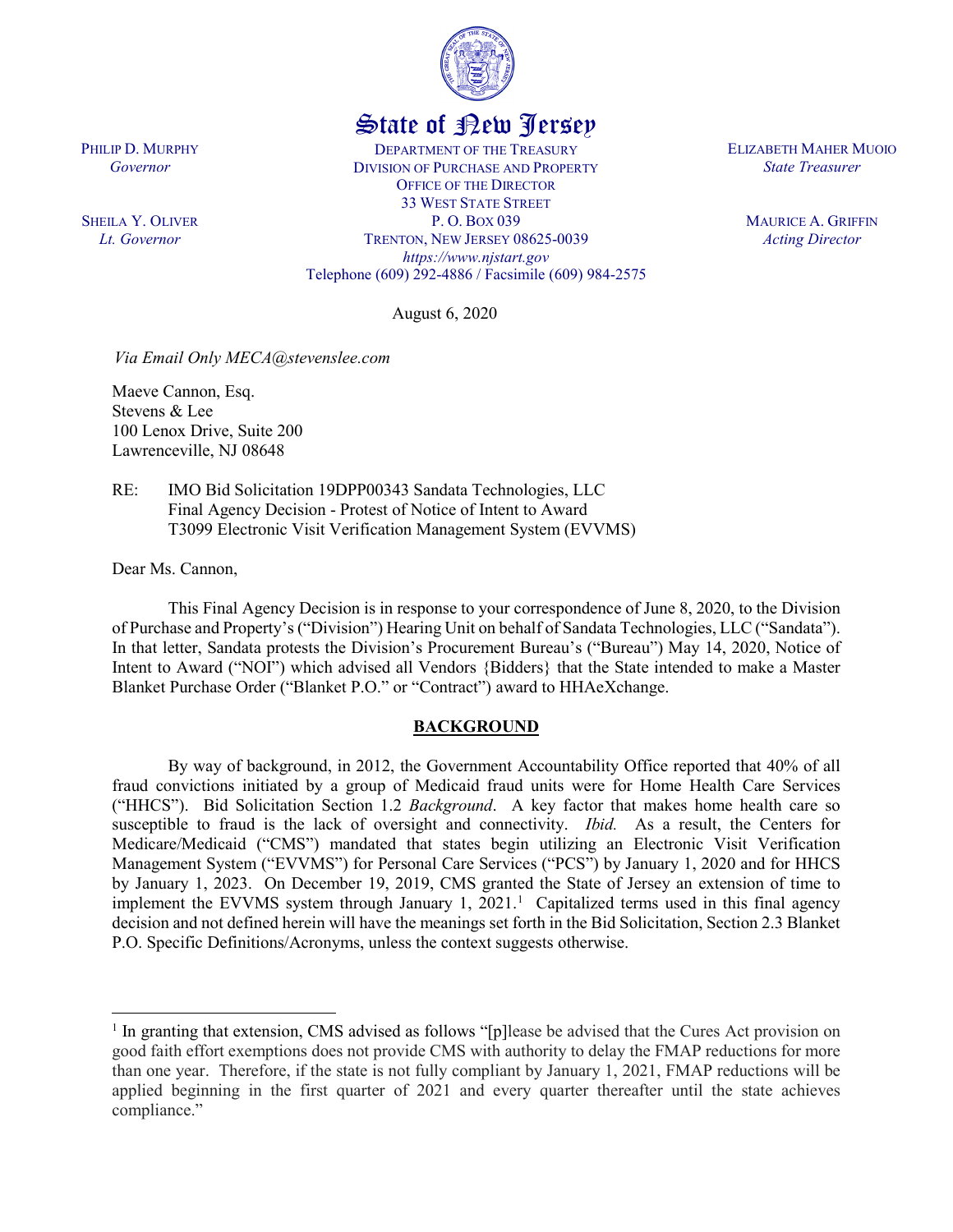

# State of New Jersey

DEPARTMENT OF THE TREASURY DIVISION OF PURCHASE AND PROPERTY OFFICE OF THE DIRECTOR 33 WEST STATE STREET P. O. BOX 039 TRENTON, NEW JERSEY 08625-0039 *https://www.njstart.gov* Telephone (609) 292-4886 / Facsimile (609) 984-2575

August 6, 2020

*Via Email Only MECA@stevenslee.com*

Maeve Cannon, Esq. Stevens & Lee 100 Lenox Drive, Suite 200 Lawrenceville, NJ 08648

RE: IMO Bid Solicitation 19DPP00343 Sandata Technologies, LLC Final Agency Decision - Protest of Notice of Intent to Award T3099 Electronic Visit Verification Management System (EVVMS)

Dear Ms. Cannon,

This Final Agency Decision is in response to your correspondence of June 8, 2020, to the Division of Purchase and Property's ("Division") Hearing Unit on behalf of Sandata Technologies, LLC ("Sandata"). In that letter, Sandata protests the Division's Procurement Bureau's ("Bureau") May 14, 2020, Notice of Intent to Award ("NOI") which advised all Vendors {Bidders} that the State intended to make a Master Blanket Purchase Order ("Blanket P.O." or "Contract") award to HHAeXchange.

#### **BACKGROUND**

By way of background, in 2012, the Government Accountability Office reported that 40% of all fraud convictions initiated by a group of Medicaid fraud units were for Home Health Care Services ("HHCS"). Bid Solicitation Section 1.2 *Background*. A key factor that makes home health care so susceptible to fraud is the lack of oversight and connectivity. *Ibid.* As a result, the Centers for Medicare/Medicaid ("CMS") mandated that states begin utilizing an Electronic Visit Verification Management System ("EVVMS") for Personal Care Services ("PCS") by January 1, 2020 and for HHCS by January 1, 2023. On December 19, 2019, CMS granted the State of Jersey an extension of time to implement the EVVMS system through January [1](#page-0-0), 2021.<sup>1</sup> Capitalized terms used in this final agency decision and not defined herein will have the meanings set forth in the Bid Solicitation, Section 2.3 Blanket P.O. Specific Definitions/Acronyms, unless the context suggests otherwise.

PHILIP D. MURPHY *Governor*

SHEILA Y. OLIVER *Lt. Governor*

ELIZABETH MAHER MUOIO *State Treasurer*

> MAURICE A. GRIFFIN *Acting Director*

<span id="page-0-0"></span><sup>&</sup>lt;sup>1</sup> In granting that extension, CMS advised as follows "[p] lease be advised that the Cures Act provision on good faith effort exemptions does not provide CMS with authority to delay the FMAP reductions for more than one year. Therefore, if the state is not fully compliant by January 1, 2021, FMAP reductions will be applied beginning in the first quarter of 2021 and every quarter thereafter until the state achieves compliance."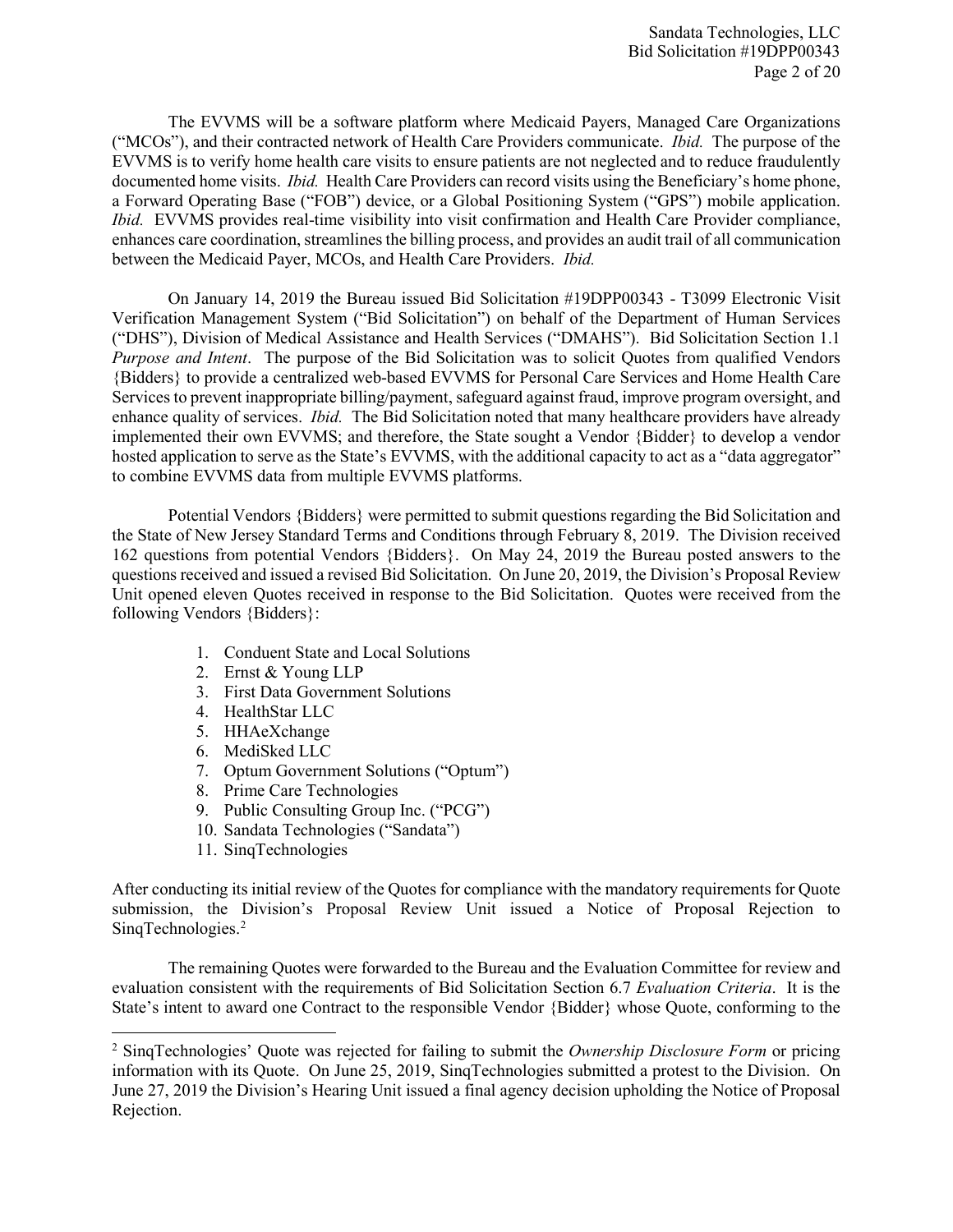Sandata Technologies, LLC Bid Solicitation #19DPP00343 Page 2 of 20

The EVVMS will be a software platform where Medicaid Payers, Managed Care Organizations ("MCOs"), and their contracted network of Health Care Providers communicate. *Ibid.* The purpose of the EVVMS is to verify home health care visits to ensure patients are not neglected and to reduce fraudulently documented home visits. *Ibid.* Health Care Providers can record visits using the Beneficiary's home phone, a Forward Operating Base ("FOB") device, or a Global Positioning System ("GPS") mobile application. *Ibid.* EVVMS provides real-time visibility into visit confirmation and Health Care Provider compliance, enhances care coordination, streamlines the billing process, and provides an audit trail of all communication between the Medicaid Payer, MCOs, and Health Care Providers. *Ibid.*

On January 14, 2019 the Bureau issued Bid Solicitation #19DPP00343 - T3099 Electronic Visit Verification Management System ("Bid Solicitation") on behalf of the Department of Human Services ("DHS"), Division of Medical Assistance and Health Services ("DMAHS"). Bid Solicitation Section 1.1 *Purpose and Intent*. The purpose of the Bid Solicitation was to solicit Quotes from qualified Vendors {Bidders} to provide a centralized web-based EVVMS for Personal Care Services and Home Health Care Services to prevent inappropriate billing/payment, safeguard against fraud, improve program oversight, and enhance quality of services. *Ibid.* The Bid Solicitation noted that many healthcare providers have already implemented their own EVVMS; and therefore, the State sought a Vendor {Bidder} to develop a vendor hosted application to serve as the State's EVVMS, with the additional capacity to act as a "data aggregator" to combine EVVMS data from multiple EVVMS platforms.

Potential Vendors {Bidders} were permitted to submit questions regarding the Bid Solicitation and the State of New Jersey Standard Terms and Conditions through February 8, 2019. The Division received 162 questions from potential Vendors {Bidders}. On May 24, 2019 the Bureau posted answers to the questions received and issued a revised Bid Solicitation. On June 20, 2019, the Division's Proposal Review Unit opened eleven Quotes received in response to the Bid Solicitation. Quotes were received from the following Vendors {Bidders}:

- 1. Conduent State and Local Solutions
- 2. Ernst & Young LLP
- 3. First Data Government Solutions
- 4. HealthStar LLC
- 5. HHAeXchange
- 6. MediSked LLC
- 7. Optum Government Solutions ("Optum")
- 8. Prime Care Technologies
- 9. Public Consulting Group Inc. ("PCG")
- 10. Sandata Technologies ("Sandata")
- 11. SinqTechnologies

 $\overline{a}$ 

After conducting its initial review of the Quotes for compliance with the mandatory requirements for Quote submission, the Division's Proposal Review Unit issued a Notice of Proposal Rejection to SinqTechnologies. [2](#page-1-0)

The remaining Quotes were forwarded to the Bureau and the Evaluation Committee for review and evaluation consistent with the requirements of Bid Solicitation Section 6.7 *Evaluation Criteria*. It is the State's intent to award one Contract to the responsible Vendor {Bidder} whose Quote, conforming to the

<span id="page-1-0"></span><sup>2</sup> SinqTechnologies' Quote was rejected for failing to submit the *Ownership Disclosure Form* or pricing information with its Quote. On June 25, 2019, SinqTechnologies submitted a protest to the Division. On June 27, 2019 the Division's Hearing Unit issued a final agency decision upholding the Notice of Proposal Rejection.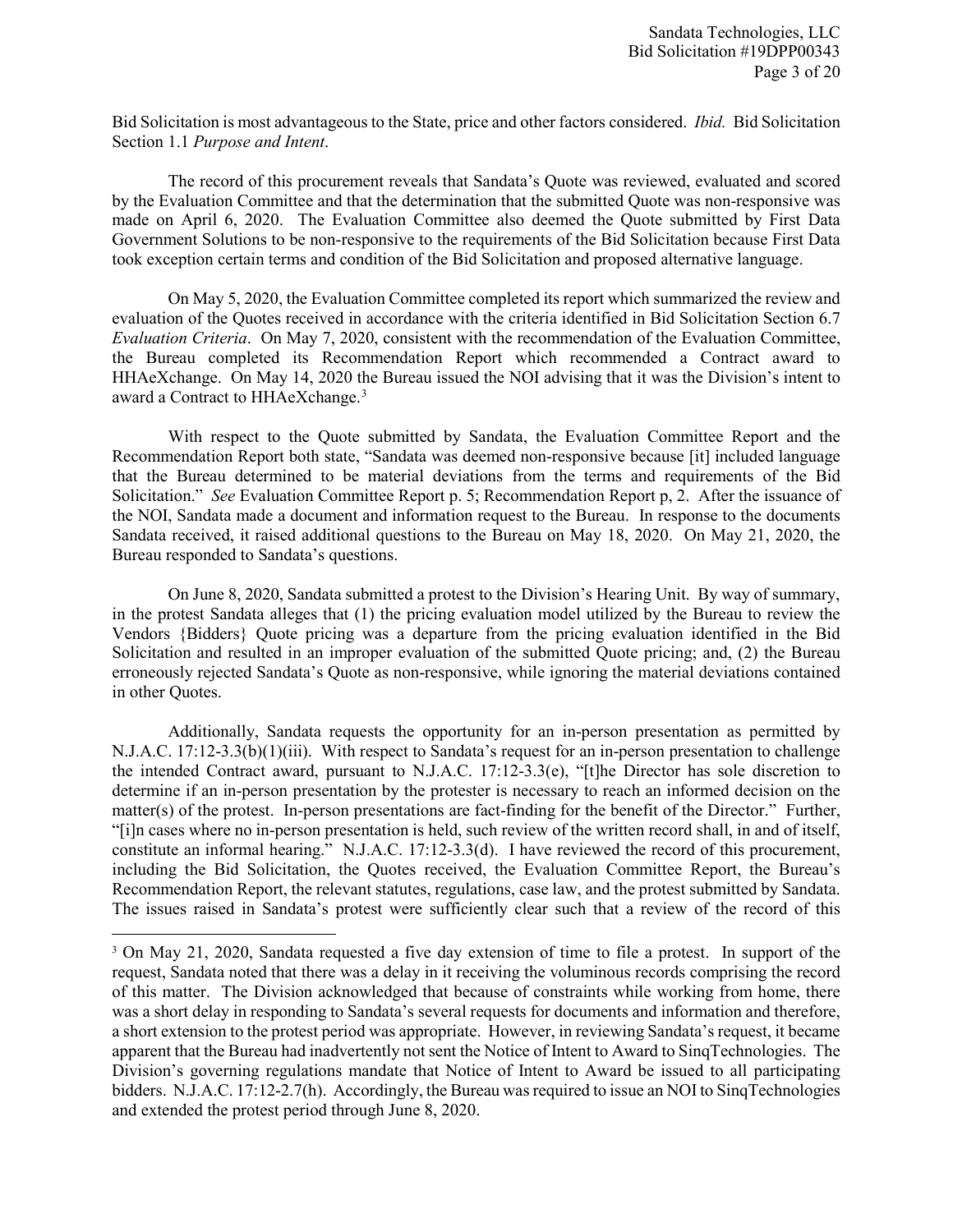Bid Solicitation is most advantageous to the State, price and other factors considered. *Ibid.* Bid Solicitation Section 1.1 *Purpose and Intent*.

The record of this procurement reveals that Sandata's Quote was reviewed, evaluated and scored by the Evaluation Committee and that the determination that the submitted Quote was non-responsive was made on April 6, 2020. The Evaluation Committee also deemed the Quote submitted by First Data Government Solutions to be non‐responsive to the requirements of the Bid Solicitation because First Data took exception certain terms and condition of the Bid Solicitation and proposed alternative language.

On May 5, 2020, the Evaluation Committee completed its report which summarized the review and evaluation of the Quotes received in accordance with the criteria identified in Bid Solicitation Section 6.7 *Evaluation Criteria*. On May 7, 2020, consistent with the recommendation of the Evaluation Committee, the Bureau completed its Recommendation Report which recommended a Contract award to HHAeXchange. On May 14, 2020 the Bureau issued the NOI advising that it was the Division's intent to award a Contract to HHAeXchange.<sup>[3](#page-2-0)</sup>

With respect to the Quote submitted by Sandata, the Evaluation Committee Report and the Recommendation Report both state, "Sandata was deemed non-responsive because [it] included language that the Bureau determined to be material deviations from the terms and requirements of the Bid Solicitation." *See* Evaluation Committee Report p. 5; Recommendation Report p, 2. After the issuance of the NOI, Sandata made a document and information request to the Bureau. In response to the documents Sandata received, it raised additional questions to the Bureau on May 18, 2020. On May 21, 2020, the Bureau responded to Sandata's questions.

On June 8, 2020, Sandata submitted a protest to the Division's Hearing Unit. By way of summary, in the protest Sandata alleges that (1) the pricing evaluation model utilized by the Bureau to review the Vendors {Bidders} Quote pricing was a departure from the pricing evaluation identified in the Bid Solicitation and resulted in an improper evaluation of the submitted Quote pricing; and, (2) the Bureau erroneously rejected Sandata's Quote as non-responsive, while ignoring the material deviations contained in other Quotes.

Additionally, Sandata requests the opportunity for an in-person presentation as permitted by N.J.A.C. 17:12-3.3(b)(1)(iii). With respect to Sandata's request for an in-person presentation to challenge the intended Contract award, pursuant to N.J.A.C. 17:12-3.3(e), "[t]he Director has sole discretion to determine if an in-person presentation by the protester is necessary to reach an informed decision on the matter(s) of the protest. In-person presentations are fact-finding for the benefit of the Director." Further, "[i]n cases where no in-person presentation is held, such review of the written record shall, in and of itself, constitute an informal hearing." N.J.A.C. 17:12-3.3(d). I have reviewed the record of this procurement, including the Bid Solicitation, the Quotes received, the Evaluation Committee Report, the Bureau's Recommendation Report, the relevant statutes, regulations, case law, and the protest submitted by Sandata. The issues raised in Sandata's protest were sufficiently clear such that a review of the record of this

l

<span id="page-2-0"></span><sup>&</sup>lt;sup>3</sup> On May 21, 2020, Sandata requested a five day extension of time to file a protest. In support of the request, Sandata noted that there was a delay in it receiving the voluminous records comprising the record of this matter. The Division acknowledged that because of constraints while working from home, there was a short delay in responding to Sandata's several requests for documents and information and therefore, a short extension to the protest period was appropriate. However, in reviewing Sandata's request, it became apparent that the Bureau had inadvertently not sent the Notice of Intent to Award to SinqTechnologies. The Division's governing regulations mandate that Notice of Intent to Award be issued to all participating bidders. N.J.A.C. 17:12-2.7(h). Accordingly, the Bureau was required to issue an NOI to SinqTechnologies and extended the protest period through June 8, 2020.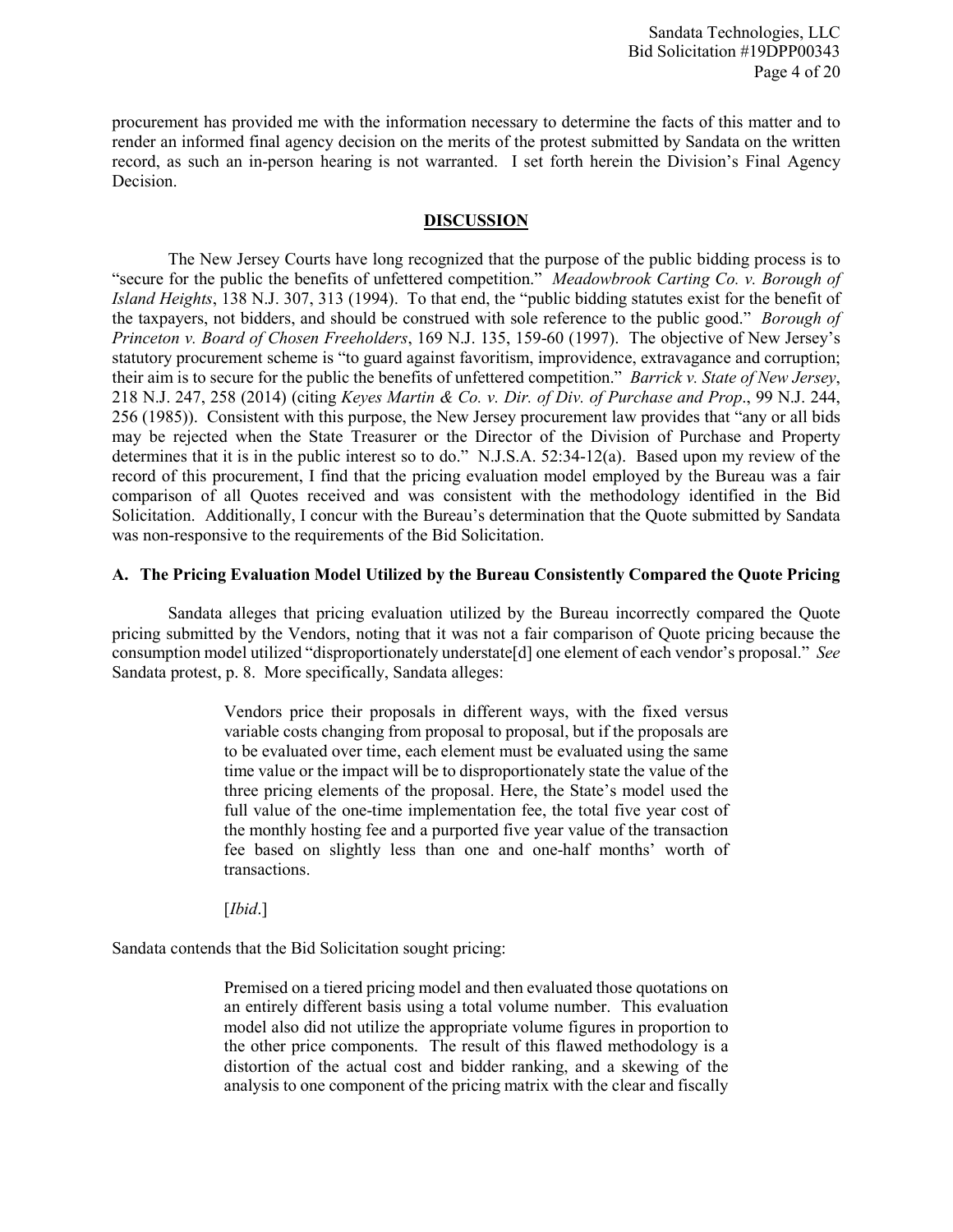procurement has provided me with the information necessary to determine the facts of this matter and to render an informed final agency decision on the merits of the protest submitted by Sandata on the written record, as such an in-person hearing is not warranted. I set forth herein the Division's Final Agency Decision.

#### **DISCUSSION**

The New Jersey Courts have long recognized that the purpose of the public bidding process is to "secure for the public the benefits of unfettered competition." *Meadowbrook Carting Co. v. Borough of Island Heights*, 138 N.J. 307, 313 (1994). To that end, the "public bidding statutes exist for the benefit of the taxpayers, not bidders, and should be construed with sole reference to the public good." *Borough of Princeton v. Board of Chosen Freeholders*, 169 N.J. 135, 159-60 (1997). The objective of New Jersey's statutory procurement scheme is "to guard against favoritism, improvidence, extravagance and corruption; their aim is to secure for the public the benefits of unfettered competition." *Barrick v. State of New Jersey*, 218 N.J. 247, 258 (2014) (citing *Keyes Martin & Co. v. Dir. of Div. of Purchase and Prop*., 99 N.J. 244, 256 (1985)). Consistent with this purpose, the New Jersey procurement law provides that "any or all bids may be rejected when the State Treasurer or the Director of the Division of Purchase and Property determines that it is in the public interest so to do." N.J.S.A. 52:34-12(a). Based upon my review of the record of this procurement, I find that the pricing evaluation model employed by the Bureau was a fair comparison of all Quotes received and was consistent with the methodology identified in the Bid Solicitation. Additionally, I concur with the Bureau's determination that the Quote submitted by Sandata was non-responsive to the requirements of the Bid Solicitation.

#### **A. The Pricing Evaluation Model Utilized by the Bureau Consistently Compared the Quote Pricing**

Sandata alleges that pricing evaluation utilized by the Bureau incorrectly compared the Quote pricing submitted by the Vendors, noting that it was not a fair comparison of Quote pricing because the consumption model utilized "disproportionately understate[d] one element of each vendor's proposal." *See* Sandata protest, p. 8. More specifically, Sandata alleges:

> Vendors price their proposals in different ways, with the fixed versus variable costs changing from proposal to proposal, but if the proposals are to be evaluated over time, each element must be evaluated using the same time value or the impact will be to disproportionately state the value of the three pricing elements of the proposal. Here, the State's model used the full value of the one-time implementation fee, the total five year cost of the monthly hosting fee and a purported five year value of the transaction fee based on slightly less than one and one-half months' worth of transactions.

[*Ibid*.]

Sandata contends that the Bid Solicitation sought pricing:

Premised on a tiered pricing model and then evaluated those quotations on an entirely different basis using a total volume number. This evaluation model also did not utilize the appropriate volume figures in proportion to the other price components. The result of this flawed methodology is a distortion of the actual cost and bidder ranking, and a skewing of the analysis to one component of the pricing matrix with the clear and fiscally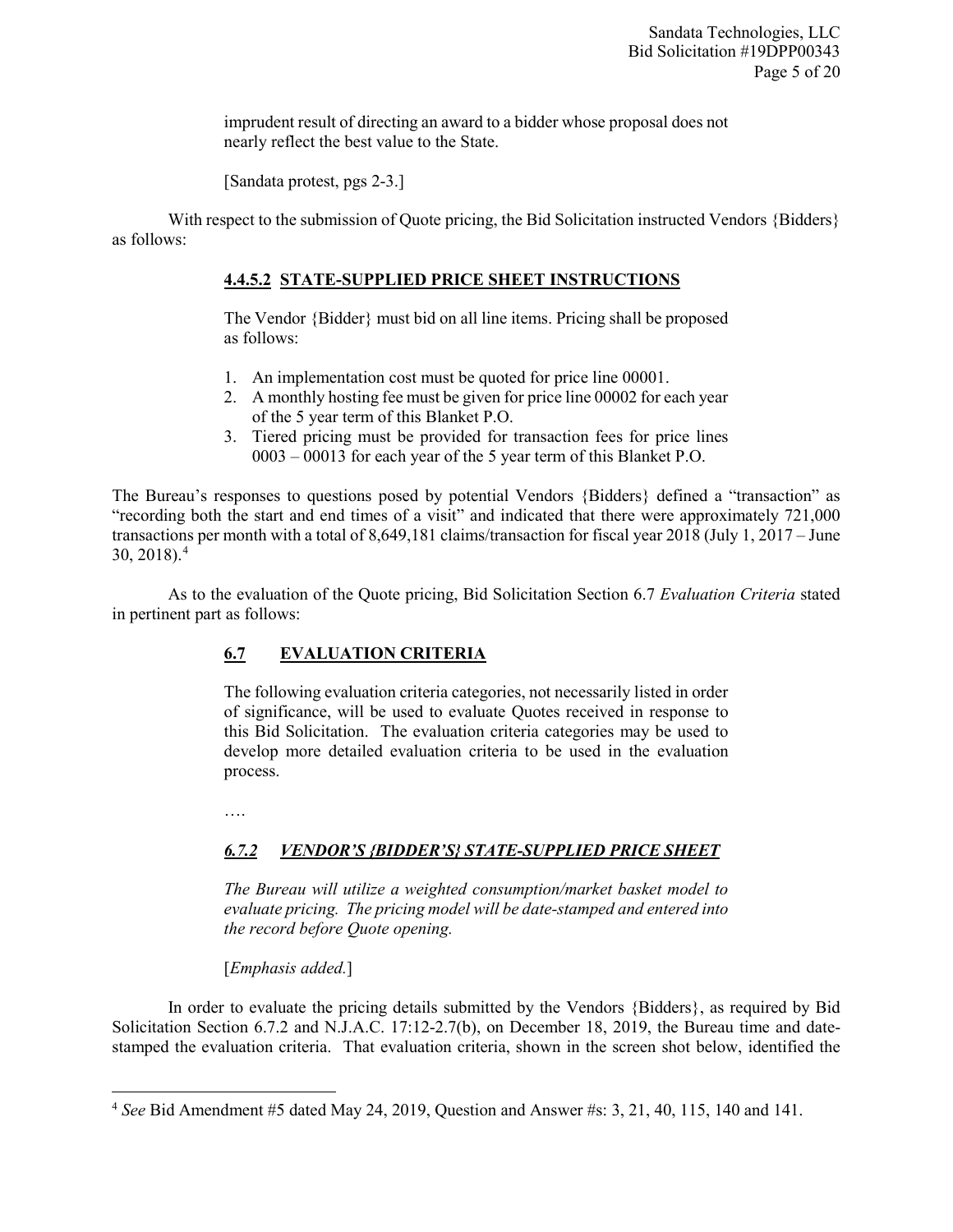imprudent result of directing an award to a bidder whose proposal does not nearly reflect the best value to the State.

[Sandata protest, pgs 2-3.]

With respect to the submission of Quote pricing, the Bid Solicitation instructed Vendors {Bidders} as follows:

# **4.4.5.2 STATE-SUPPLIED PRICE SHEET INSTRUCTIONS**

The Vendor {Bidder} must bid on all line items. Pricing shall be proposed as follows:

- 1. An implementation cost must be quoted for price line 00001.
- 2. A monthly hosting fee must be given for price line 00002 for each year of the 5 year term of this Blanket P.O.
- 3. Tiered pricing must be provided for transaction fees for price lines 0003 – 00013 for each year of the 5 year term of this Blanket P.O.

The Bureau's responses to questions posed by potential Vendors {Bidders} defined a "transaction" as "recording both the start and end times of a visit" and indicated that there were approximately 721,000 transactions per month with a total of 8,649,181 claims/transaction for fiscal year 2018 (July 1, 2017 – June  $30, 2018$ .<sup>[4](#page-4-0)</sup>

As to the evaluation of the Quote pricing, Bid Solicitation Section 6.7 *Evaluation Criteria* stated in pertinent part as follows:

# **6.7 EVALUATION CRITERIA**

The following evaluation criteria categories, not necessarily listed in order of significance, will be used to evaluate Quotes received in response to this Bid Solicitation. The evaluation criteria categories may be used to develop more detailed evaluation criteria to be used in the evaluation process.

….

l

# *6.7.2 VENDOR'S {BIDDER'S} STATE-SUPPLIED PRICE SHEET*

*The Bureau will utilize a weighted consumption/market basket model to evaluate pricing. The pricing model will be date-stamped and entered into the record before Quote opening.* 

[*Emphasis added.*]

In order to evaluate the pricing details submitted by the Vendors {Bidders}, as required by Bid Solicitation Section 6.7.2 and N.J.A.C. 17:12-2.7(b), on December 18, 2019, the Bureau time and datestamped the evaluation criteria. That evaluation criteria, shown in the screen shot below, identified the

<span id="page-4-0"></span><sup>4</sup> *See* Bid Amendment #5 dated May 24, 2019, Question and Answer #s: 3, 21, 40, 115, 140 and 141.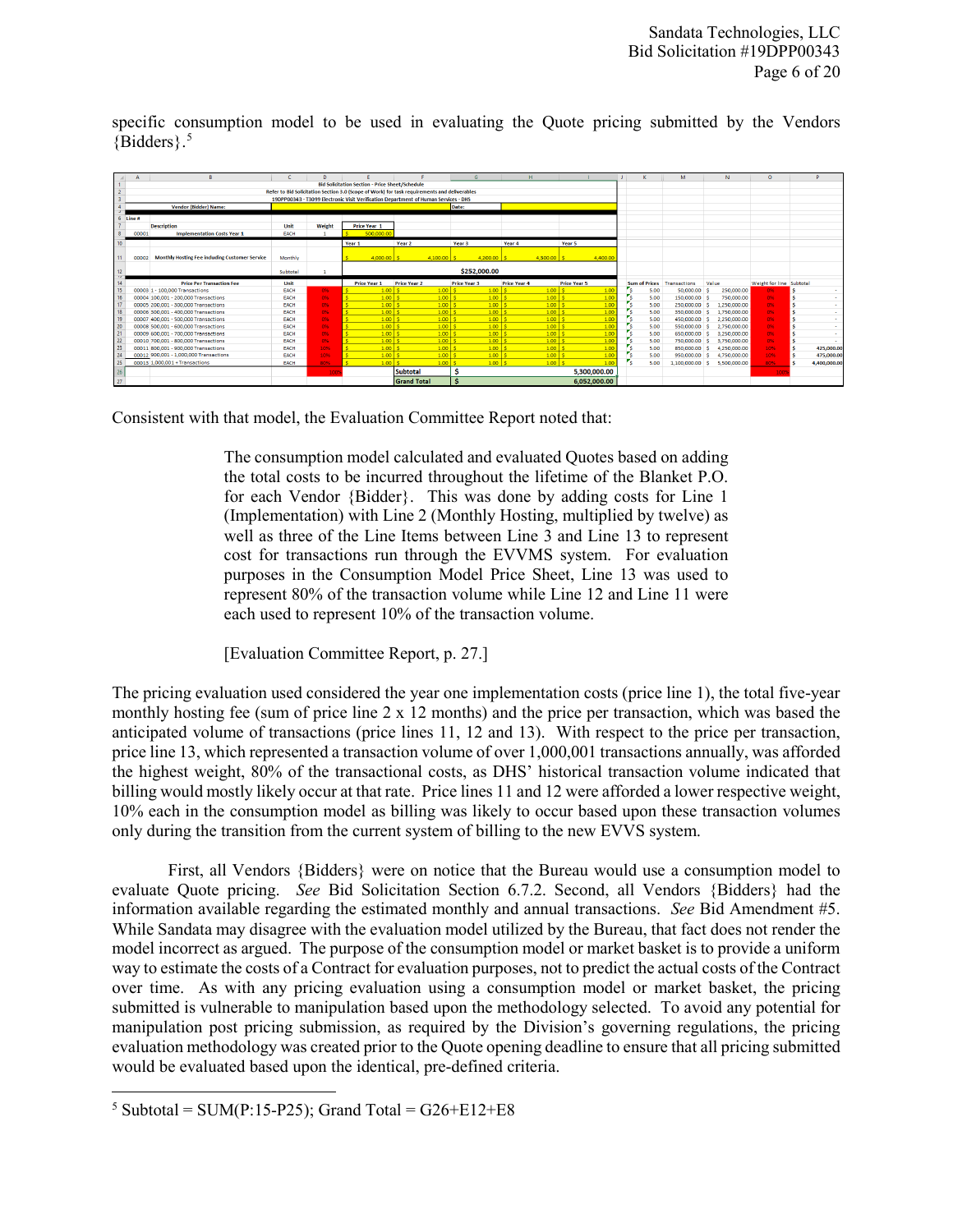specific consumption model to be used in evaluating the Quote pricing submitted by the Vendors {Bidders}.[5](#page-5-0)



Consistent with that model, the Evaluation Committee Report noted that:

The consumption model calculated and evaluated Quotes based on adding the total costs to be incurred throughout the lifetime of the Blanket P.O. for each Vendor {Bidder}. This was done by adding costs for Line 1 (Implementation) with Line 2 (Monthly Hosting, multiplied by twelve) as well as three of the Line Items between Line 3 and Line 13 to represent cost for transactions run through the EVVMS system. For evaluation purposes in the Consumption Model Price Sheet, Line 13 was used to represent 80% of the transaction volume while Line 12 and Line 11 were each used to represent 10% of the transaction volume.

[Evaluation Committee Report, p. 27.]

The pricing evaluation used considered the year one implementation costs (price line 1), the total five-year monthly hosting fee (sum of price line  $2 \times 12$  months) and the price per transaction, which was based the anticipated volume of transactions (price lines 11, 12 and 13). With respect to the price per transaction, price line 13, which represented a transaction volume of over 1,000,001 transactions annually, was afforded the highest weight, 80% of the transactional costs, as DHS' historical transaction volume indicated that billing would mostly likely occur at that rate. Price lines 11 and 12 were afforded a lower respective weight, 10% each in the consumption model as billing was likely to occur based upon these transaction volumes only during the transition from the current system of billing to the new EVVS system.

First, all Vendors {Bidders} were on notice that the Bureau would use a consumption model to evaluate Quote pricing. *See* Bid Solicitation Section 6.7.2. Second, all Vendors {Bidders} had the information available regarding the estimated monthly and annual transactions. *See* Bid Amendment #5. While Sandata may disagree with the evaluation model utilized by the Bureau, that fact does not render the model incorrect as argued. The purpose of the consumption model or market basket is to provide a uniform way to estimate the costs of a Contract for evaluation purposes, not to predict the actual costs of the Contract over time. As with any pricing evaluation using a consumption model or market basket, the pricing submitted is vulnerable to manipulation based upon the methodology selected. To avoid any potential for manipulation post pricing submission, as required by the Division's governing regulations, the pricing evaluation methodology was created prior to the Quote opening deadline to ensure that all pricing submitted would be evaluated based upon the identical, pre-defined criteria.

<span id="page-5-0"></span>l  $5 \text{ Subtotal} = \text{SUM}(P:15-P25); \text{ Grand Total} = \text{G26}+\text{E12}+\text{E8}$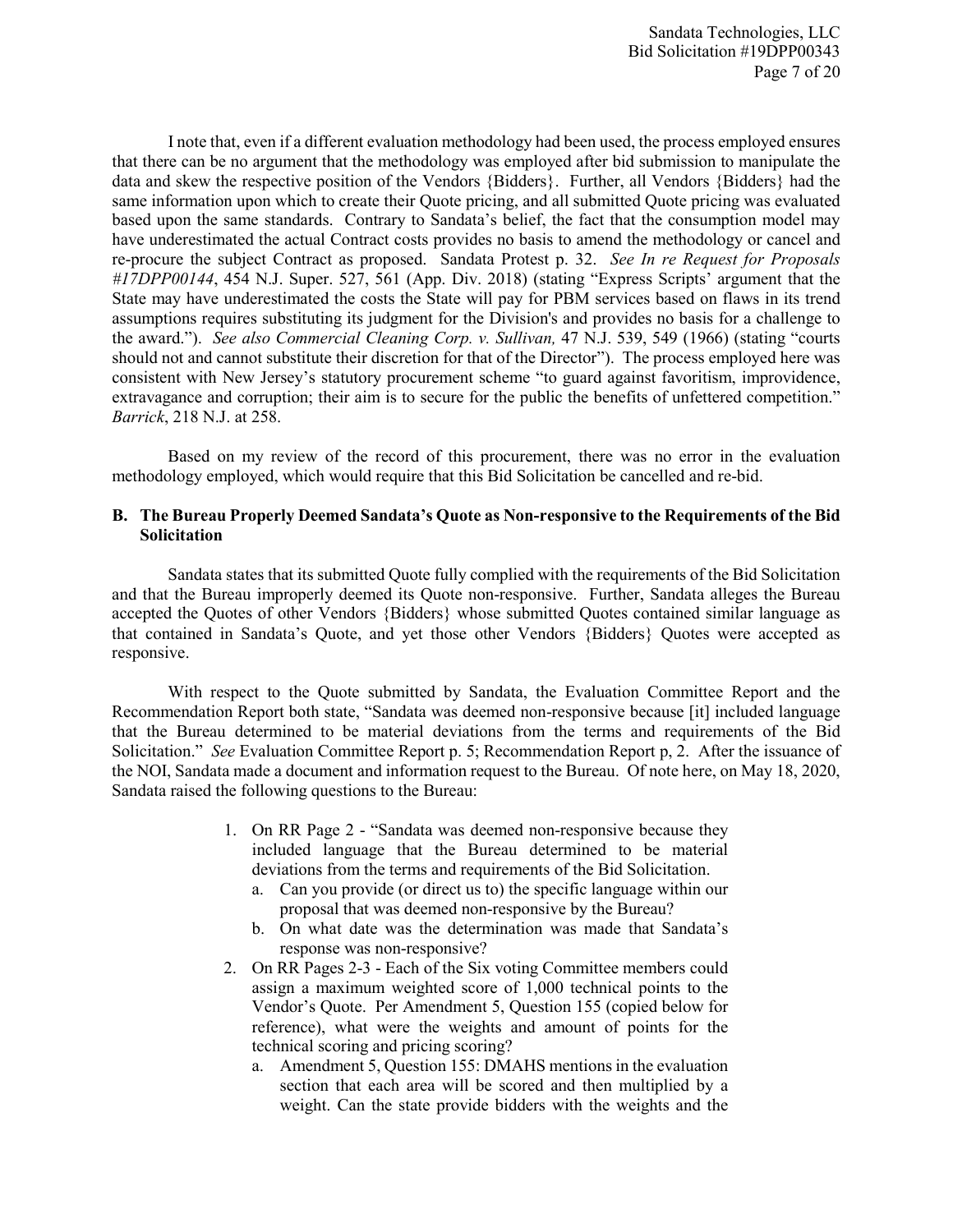I note that, even if a different evaluation methodology had been used, the process employed ensures that there can be no argument that the methodology was employed after bid submission to manipulate the data and skew the respective position of the Vendors {Bidders}. Further, all Vendors {Bidders} had the same information upon which to create their Quote pricing, and all submitted Quote pricing was evaluated based upon the same standards. Contrary to Sandata's belief, the fact that the consumption model may have underestimated the actual Contract costs provides no basis to amend the methodology or cancel and re-procure the subject Contract as proposed. Sandata Protest p. 32. *See In re Request for Proposals #17DPP00144*, 454 N.J. Super. 527, 561 (App. Div. 2018) (stating "Express Scripts' argument that the State may have underestimated the costs the State will pay for PBM services based on flaws in its trend assumptions requires substituting its judgment for the Division's and provides no basis for a challenge to the award."). *See also Commercial Cleaning Corp. v. Sullivan,* 47 N.J. 539, 549 (1966) (stating "courts should not and cannot substitute their discretion for that of the Director"). The process employed here was consistent with New Jersey's statutory procurement scheme "to guard against favoritism, improvidence, extravagance and corruption; their aim is to secure for the public the benefits of unfettered competition." *Barrick*, 218 N.J. at 258.

Based on my review of the record of this procurement, there was no error in the evaluation methodology employed, which would require that this Bid Solicitation be cancelled and re-bid.

#### **B. The Bureau Properly Deemed Sandata's Quote as Non-responsive to the Requirements of the Bid Solicitation**

Sandata states that its submitted Quote fully complied with the requirements of the Bid Solicitation and that the Bureau improperly deemed its Quote non-responsive. Further, Sandata alleges the Bureau accepted the Quotes of other Vendors {Bidders} whose submitted Quotes contained similar language as that contained in Sandata's Quote, and yet those other Vendors {Bidders} Quotes were accepted as responsive.

With respect to the Quote submitted by Sandata, the Evaluation Committee Report and the Recommendation Report both state, "Sandata was deemed non-responsive because [it] included language that the Bureau determined to be material deviations from the terms and requirements of the Bid Solicitation." *See* Evaluation Committee Report p. 5; Recommendation Report p, 2. After the issuance of the NOI, Sandata made a document and information request to the Bureau. Of note here, on May 18, 2020, Sandata raised the following questions to the Bureau:

- 1. On RR Page 2 "Sandata was deemed non-responsive because they included language that the Bureau determined to be material deviations from the terms and requirements of the Bid Solicitation.
	- a. Can you provide (or direct us to) the specific language within our proposal that was deemed non-responsive by the Bureau?
	- b. On what date was the determination was made that Sandata's response was non-responsive?
- 2. On RR Pages 2-3 Each of the Six voting Committee members could assign a maximum weighted score of 1,000 technical points to the Vendor's Quote. Per Amendment 5, Question 155 (copied below for reference), what were the weights and amount of points for the technical scoring and pricing scoring?
	- a. Amendment 5, Question 155: DMAHS mentions in the evaluation section that each area will be scored and then multiplied by a weight. Can the state provide bidders with the weights and the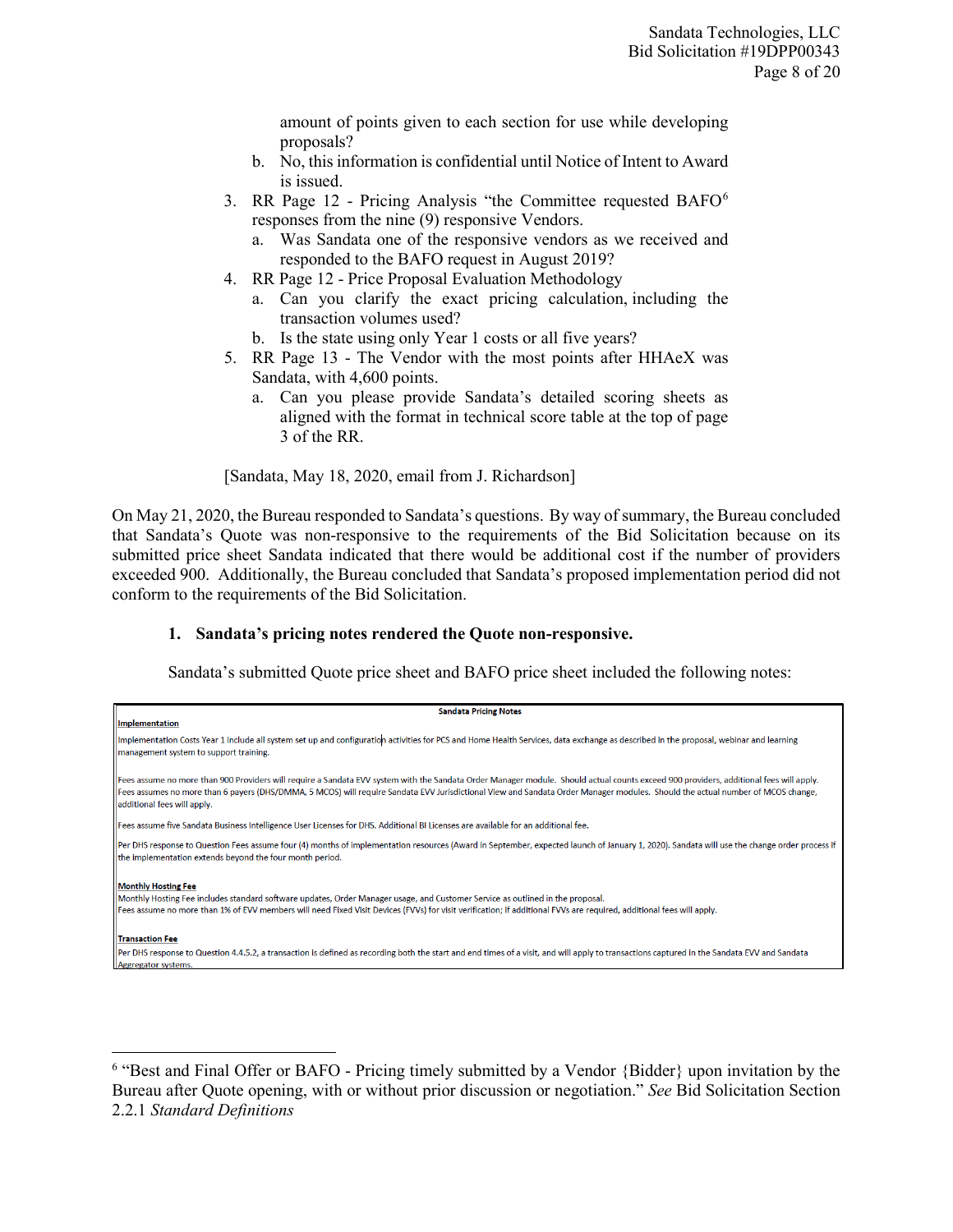amount of points given to each section for use while developing proposals?

- b. No, this information is confidential until Notice of Intent to Award is issued.
- 3. RR Page 12 Pricing Analysis "the Committee requested BAFO[6](#page-7-0) responses from the nine (9) responsive Vendors.
	- a. Was Sandata one of the responsive vendors as we received and responded to the BAFO request in August 2019?
- 4. RR Page 12 Price Proposal Evaluation Methodology
	- a. Can you clarify the exact pricing calculation, including the transaction volumes used?
	- b. Is the state using only Year 1 costs or all five years?
- 5. RR Page 13 The Vendor with the most points after HHAeX was Sandata, with 4,600 points.
	- a. Can you please provide Sandata's detailed scoring sheets as aligned with the format in technical score table at the top of page 3 of the RR.

[Sandata, May 18, 2020, email from J. Richardson]

On May 21, 2020, the Bureau responded to Sandata's questions. By way of summary, the Bureau concluded that Sandata's Quote was non-responsive to the requirements of the Bid Solicitation because on its submitted price sheet Sandata indicated that there would be additional cost if the number of providers exceeded 900. Additionally, the Bureau concluded that Sandata's proposed implementation period did not conform to the requirements of the Bid Solicitation.

#### **1. Sandata's pricing notes rendered the Quote non-responsive.**

 $\overline{\phantom{a}}$ 

Sandata's submitted Quote price sheet and BAFO price sheet included the following notes:

| <b>Sandata Pricing Notes</b>                                                                                                                                                                                                                                                                                                                                                                            |
|---------------------------------------------------------------------------------------------------------------------------------------------------------------------------------------------------------------------------------------------------------------------------------------------------------------------------------------------------------------------------------------------------------|
| <b>Implementation</b>                                                                                                                                                                                                                                                                                                                                                                                   |
| Implementation Costs Year 1 include all system set up and configuration activities for PCS and Home Health Services, data exchange as described in the proposal, webinar and learning<br>management system to support training.                                                                                                                                                                         |
| Fees assume no more than 900 Providers will require a Sandata EVV system with the Sandata Order Manager module. Should actual counts exceed 900 providers, additional fees will apply.<br>Fees assumes no more than 6 payers (DHS/DMMA, 5 MCOS) will require Sandata EVV Jurisdictional View and Sandata Order Manager modules. Should the actual number of MCOS change,<br>additional fees will apply. |
| Fees assume five Sandata Business Intelligence User Licenses for DHS. Additional BI Licenses are available for an additional fee.                                                                                                                                                                                                                                                                       |
| Per DHS response to Question Fees assume four (4) months of implementation resources (Award in September, expected launch of January 1, 2020). Sandata will use the change order process if<br>the implementation extends beyond the four month period.                                                                                                                                                 |
| <b>Monthly Hosting Fee</b><br>Monthly Hosting Fee includes standard software updates, Order Manager usage, and Customer Service as outlined in the proposal.<br>Fees assume no more than 1% of EVV members will need Fixed Visit Devices (FVVs) for visit verification; if additional FVVs are required, additional fees will apply.                                                                    |
| <b>Transaction Fee</b>                                                                                                                                                                                                                                                                                                                                                                                  |
| Per DHS response to Question 4.4.5.2, a transaction is defined as recording both the start and end times of a visit, and will apply to transactions captured in the Sandata EVV and Sandata                                                                                                                                                                                                             |
| Aggregator systems.                                                                                                                                                                                                                                                                                                                                                                                     |

<span id="page-7-0"></span><sup>6</sup> "Best and Final Offer or BAFO - Pricing timely submitted by a Vendor {Bidder} upon invitation by the Bureau after Quote opening, with or without prior discussion or negotiation." *See* Bid Solicitation Section 2.2.1 *Standard Definitions*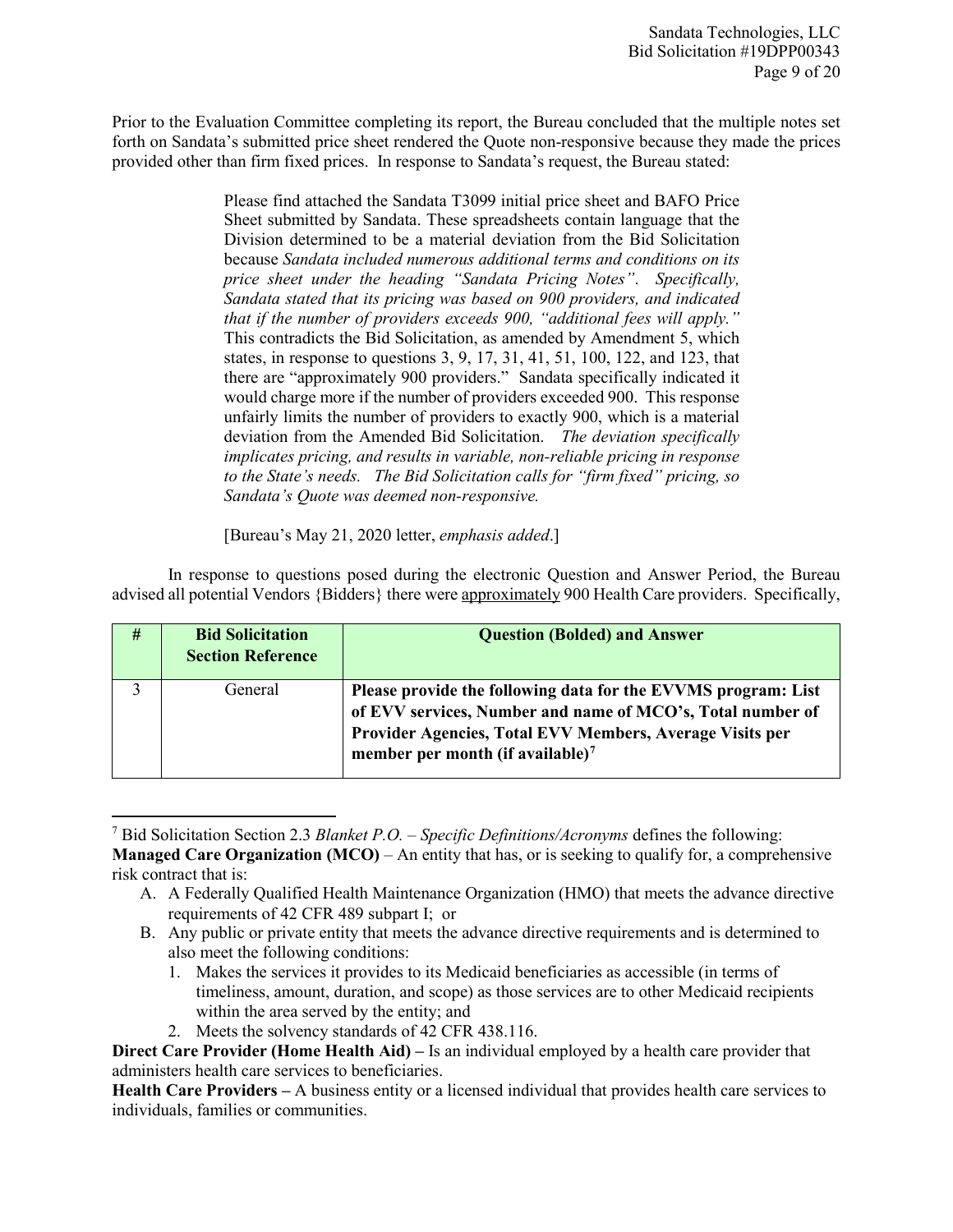Prior to the Evaluation Committee completing its report, the Bureau concluded that the multiple notes set forth on Sandata's submitted price sheet rendered the Quote non-responsive because they made the prices provided other than firm fixed prices. In response to Sandata's request, the Bureau stated:

> Please find attached the Sandata T3099 initial price sheet and BAFO Price Sheet submitted by Sandata. These spreadsheets contain language that the Division determined to be a material deviation from the Bid Solicitation because *Sandata included numerous additional terms and conditions on its price sheet under the heading "Sandata Pricing Notes"*. *Specifically, Sandata stated that its pricing was based on 900 providers, and indicated that if the number of providers exceeds 900, "additional fees will apply."*  This contradicts the Bid Solicitation, as amended by Amendment 5, which states, in response to questions 3, 9, 17, 31, 41, 51, 100, 122, and 123, that there are "approximately 900 providers." Sandata specifically indicated it would charge more if the number of providers exceeded 900. This response unfairly limits the number of providers to exactly 900, which is a material deviation from the Amended Bid Solicitation. *The deviation specifically implicates pricing, and results in variable, non-reliable pricing in response to the State's needs. The Bid Solicitation calls for "firm fixed" pricing, so Sandata's Quote was deemed non-responsive.*

[Bureau's May 21, 2020 letter, *emphasis added*.]

In response to questions posed during the electronic Question and Answer Period, the Bureau advised all potential Vendors {Bidders} there were approximately 900 Health Care providers. Specifically,

| # | <b>Bid Solicitation</b><br><b>Section Reference</b> | <b>Question (Bolded) and Answer</b>                                                                                                                                                                                                     |
|---|-----------------------------------------------------|-----------------------------------------------------------------------------------------------------------------------------------------------------------------------------------------------------------------------------------------|
|   | General                                             | Please provide the following data for the EVVMS program: List<br>of EVV services, Number and name of MCO's, Total number of<br>Provider Agencies, Total EVV Members, Average Visits per<br>member per month (if available) <sup>7</sup> |

<span id="page-8-0"></span><sup>7</sup> Bid Solicitation Section 2.3 *Blanket P.O. – Specific Definitions/Acronyms* defines the following: **Managed Care Organization (MCO)** – An entity that has, or is seeking to qualify for, a comprehensive risk contract that is:

- A. A Federally Qualified Health Maintenance Organization (HMO) that meets the advance directive requirements of 42 CFR 489 subpart I; or
- B. Any public or private entity that meets the advance directive requirements and is determined to also meet the following conditions:
	- 1. Makes the services it provides to its Medicaid beneficiaries as accessible (in terms of timeliness, amount, duration, and scope) as those services are to other Medicaid recipients within the area served by the entity; and
	- 2. Meets the solvency standards of 42 CFR 438.116.

 $\overline{a}$ 

**Direct Care Provider (Home Health Aid) –** Is an individual employed by a health care provider that administers health care services to beneficiaries.

**Health Care Providers –** A business entity or a licensed individual that provides health care services to individuals, families or communities.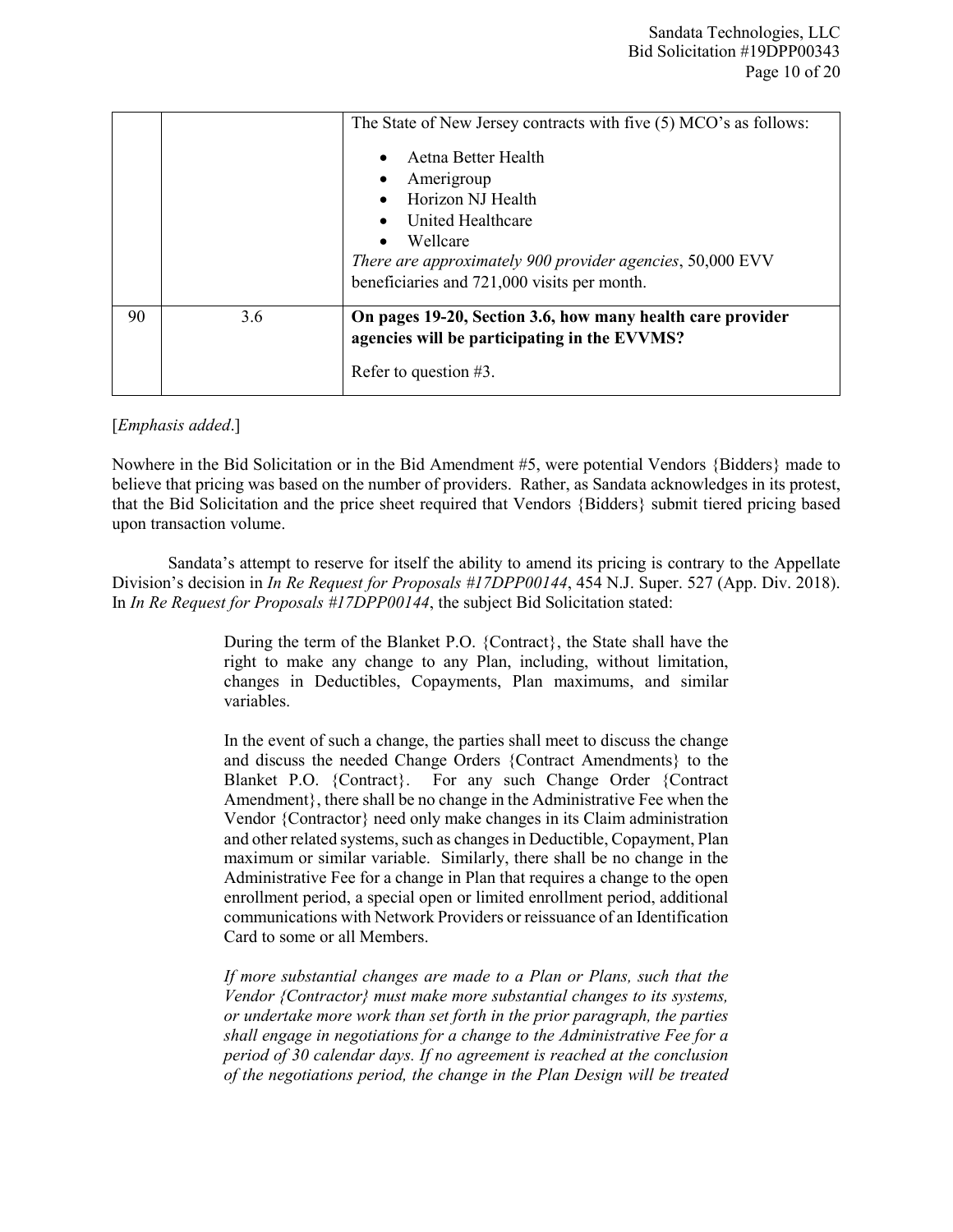|    |     | The State of New Jersey contracts with five (5) MCO's as follows:<br>Aetna Better Health<br>Amerigroup<br>Horizon NJ Health<br>United Healthcare<br>Wellcare<br>There are approximately 900 provider agencies, 50,000 EVV<br>beneficiaries and 721,000 visits per month. |
|----|-----|--------------------------------------------------------------------------------------------------------------------------------------------------------------------------------------------------------------------------------------------------------------------------|
| 90 | 3.6 | On pages 19-20, Section 3.6, how many health care provider<br>agencies will be participating in the EVVMS?<br>Refer to question $#3$ .                                                                                                                                   |

#### [*Emphasis added*.]

Nowhere in the Bid Solicitation or in the Bid Amendment #5, were potential Vendors {Bidders} made to believe that pricing was based on the number of providers. Rather, as Sandata acknowledges in its protest, that the Bid Solicitation and the price sheet required that Vendors {Bidders} submit tiered pricing based upon transaction volume.

Sandata's attempt to reserve for itself the ability to amend its pricing is contrary to the Appellate Division's decision in *In Re Request for Proposals #17DPP00144*, 454 N.J. Super. 527 (App. Div. 2018). In *In Re Request for Proposals #17DPP00144*, the subject Bid Solicitation stated:

> During the term of the Blanket P.O. {Contract}, the State shall have the right to make any change to any Plan, including, without limitation, changes in Deductibles, Copayments, Plan maximums, and similar variables.

> In the event of such a change, the parties shall meet to discuss the change and discuss the needed Change Orders {Contract Amendments} to the Blanket P.O. {Contract}. For any such Change Order {Contract Amendment}, there shall be no change in the Administrative Fee when the Vendor {Contractor} need only make changes in its Claim administration and other related systems, such as changes in Deductible, Copayment, Plan maximum or similar variable. Similarly, there shall be no change in the Administrative Fee for a change in Plan that requires a change to the open enrollment period, a special open or limited enrollment period, additional communications with Network Providers or reissuance of an Identification Card to some or all Members.

> *If more substantial changes are made to a Plan or Plans, such that the Vendor {Contractor} must make more substantial changes to its systems, or undertake more work than set forth in the prior paragraph, the parties shall engage in negotiations for a change to the Administrative Fee for a period of 30 calendar days. If no agreement is reached at the conclusion of the negotiations period, the change in the Plan Design will be treated*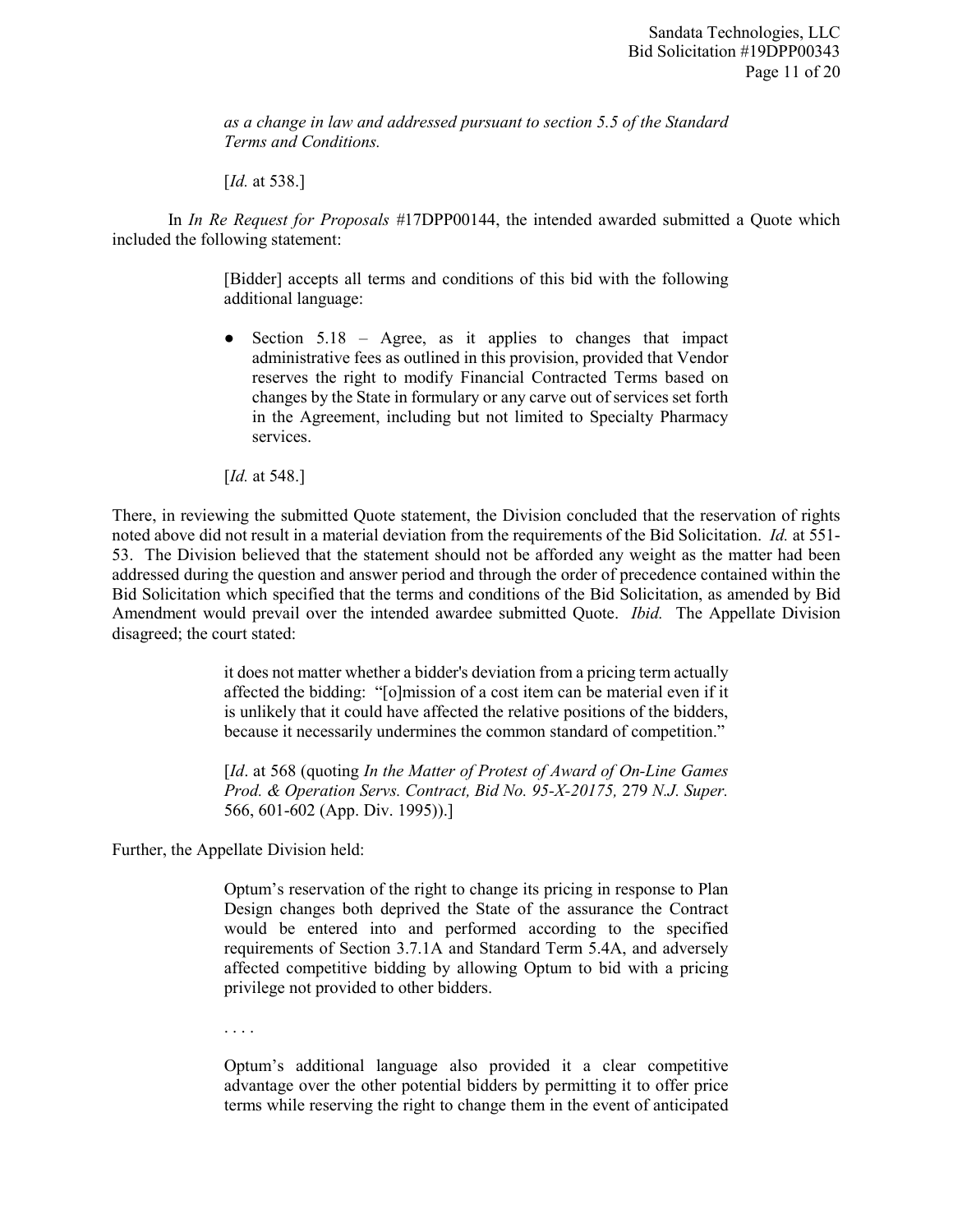*as a change in law and addressed pursuant to section 5.5 of the Standard Terms and Conditions.* 

[*Id.* at 538.]

In *In Re Request for Proposals #*17DPP00144, the intended awarded submitted a Quote which included the following statement:

> [Bidder] accepts all terms and conditions of this bid with the following additional language:

> ● Section 5.18 – Agree, as it applies to changes that impact administrative fees as outlined in this provision, provided that Vendor reserves the right to modify Financial Contracted Terms based on changes by the State in formulary or any carve out of services set forth in the Agreement, including but not limited to Specialty Pharmacy services.

[*Id.* at 548.]

There, in reviewing the submitted Quote statement, the Division concluded that the reservation of rights noted above did not result in a material deviation from the requirements of the Bid Solicitation. *Id.* at 551- 53. The Division believed that the statement should not be afforded any weight as the matter had been addressed during the question and answer period and through the order of precedence contained within the Bid Solicitation which specified that the terms and conditions of the Bid Solicitation, as amended by Bid Amendment would prevail over the intended awardee submitted Quote. *Ibid.* The Appellate Division disagreed; the court stated:

> it does not matter whether a bidder's deviation from a pricing term actually affected the bidding: "[o]mission of a cost item can be material even if it is unlikely that it could have affected the relative positions of the bidders, because it necessarily undermines the common standard of competition."

> [*Id.* at 568 (quoting *In the Matter of Protest of Award of On-Line Games Prod. & Operation Servs. Contract, Bid No. 95-X-20175,* 279 *N.J. Super.*  566, 601-602 (App. Div. 1995)).]

Further, the Appellate Division held:

Optum's reservation of the right to change its pricing in response to Plan Design changes both deprived the State of the assurance the Contract would be entered into and performed according to the specified requirements of Section 3.7.1A and Standard Term 5.4A, and adversely affected competitive bidding by allowing Optum to bid with a pricing privilege not provided to other bidders.

. . . .

Optum's additional language also provided it a clear competitive advantage over the other potential bidders by permitting it to offer price terms while reserving the right to change them in the event of anticipated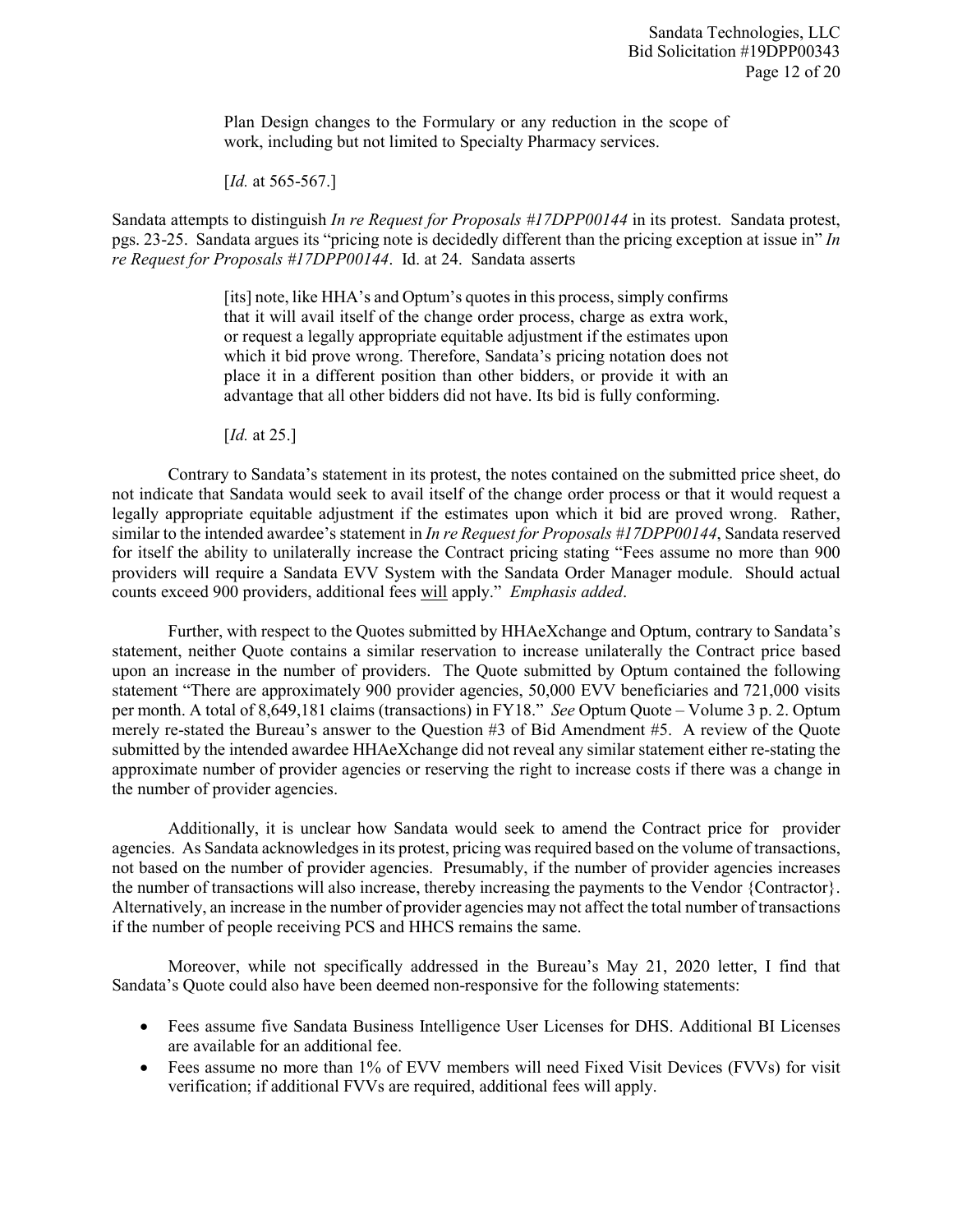Plan Design changes to the Formulary or any reduction in the scope of work, including but not limited to Specialty Pharmacy services.

[*Id.* at 565-567.]

Sandata attempts to distinguish *In re Request for Proposals #17DPP00144* in its protest. Sandata protest, pgs. 23-25. Sandata argues its "pricing note is decidedly different than the pricing exception at issue in" *In re Request for Proposals #17DPP00144*. Id. at 24. Sandata asserts

> [its] note, like HHA's and Optum's quotes in this process, simply confirms that it will avail itself of the change order process, charge as extra work, or request a legally appropriate equitable adjustment if the estimates upon which it bid prove wrong. Therefore, Sandata's pricing notation does not place it in a different position than other bidders, or provide it with an advantage that all other bidders did not have. Its bid is fully conforming.

[*Id.* at 25.]

Contrary to Sandata's statement in its protest, the notes contained on the submitted price sheet, do not indicate that Sandata would seek to avail itself of the change order process or that it would request a legally appropriate equitable adjustment if the estimates upon which it bid are proved wrong. Rather, similar to the intended awardee's statement in *In re Request for Proposals #17DPP00144*, Sandata reserved for itself the ability to unilaterally increase the Contract pricing stating "Fees assume no more than 900 providers will require a Sandata EVV System with the Sandata Order Manager module. Should actual counts exceed 900 providers, additional fees will apply." *Emphasis added*.

Further, with respect to the Quotes submitted by HHAeXchange and Optum, contrary to Sandata's statement, neither Quote contains a similar reservation to increase unilaterally the Contract price based upon an increase in the number of providers. The Quote submitted by Optum contained the following statement "There are approximately 900 provider agencies, 50,000 EVV beneficiaries and 721,000 visits per month. A total of 8,649,181 claims (transactions) in FY18." *See* Optum Quote – Volume 3 p. 2. Optum merely re-stated the Bureau's answer to the Question #3 of Bid Amendment #5. A review of the Quote submitted by the intended awardee HHAeXchange did not reveal any similar statement either re-stating the approximate number of provider agencies or reserving the right to increase costs if there was a change in the number of provider agencies.

Additionally, it is unclear how Sandata would seek to amend the Contract price for provider agencies. As Sandata acknowledges in its protest, pricing was required based on the volume of transactions, not based on the number of provider agencies. Presumably, if the number of provider agencies increases the number of transactions will also increase, thereby increasing the payments to the Vendor {Contractor}. Alternatively, an increase in the number of provider agencies may not affect the total number of transactions if the number of people receiving PCS and HHCS remains the same.

Moreover, while not specifically addressed in the Bureau's May 21, 2020 letter, I find that Sandata's Quote could also have been deemed non-responsive for the following statements:

- Fees assume five Sandata Business Intelligence User Licenses for DHS. Additional BI Licenses are available for an additional fee.
- Fees assume no more than 1% of EVV members will need Fixed Visit Devices (FVVs) for visit verification; if additional FVVs are required, additional fees will apply.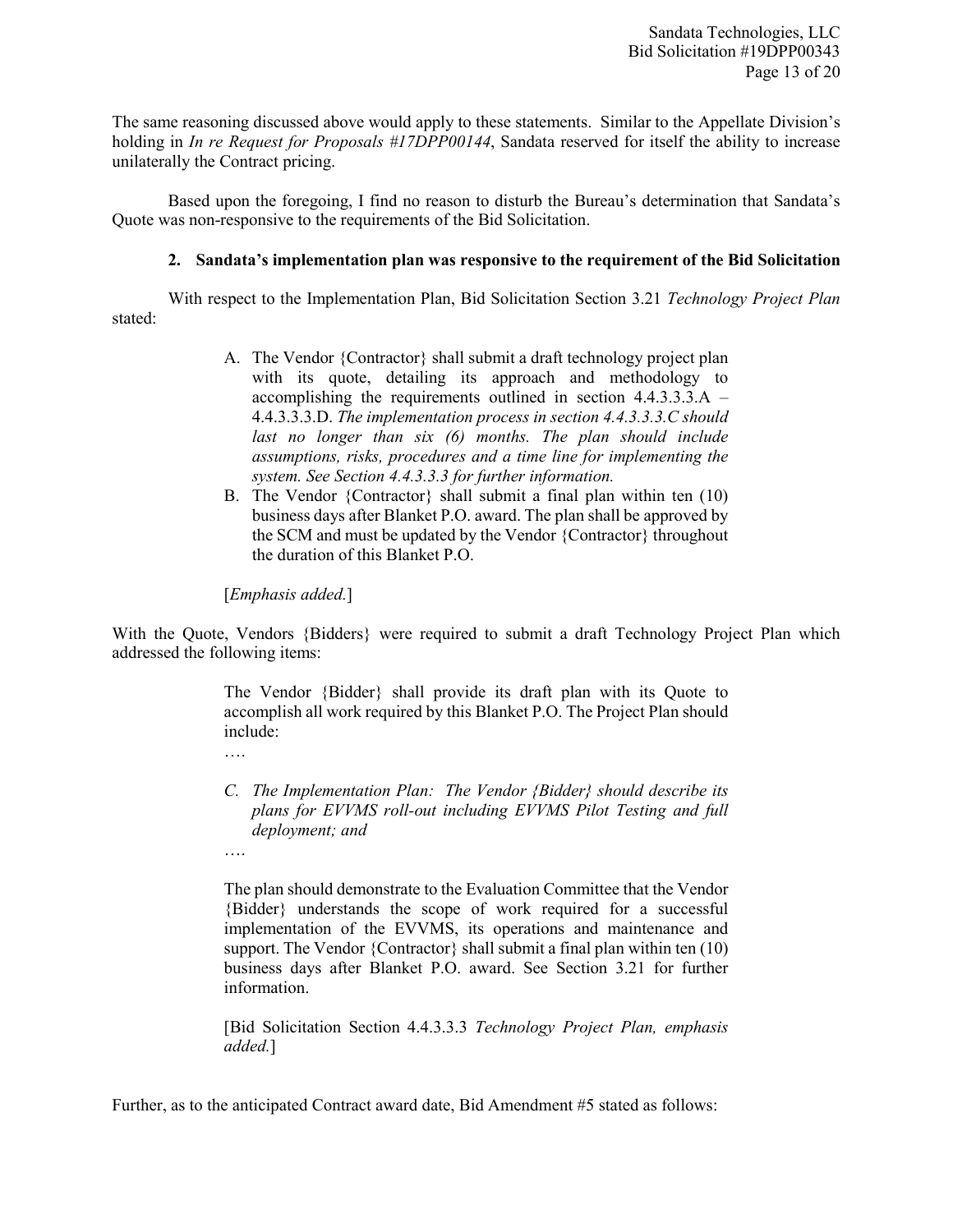The same reasoning discussed above would apply to these statements. Similar to the Appellate Division's holding in *In re Request for Proposals #17DPP00144*, Sandata reserved for itself the ability to increase unilaterally the Contract pricing.

Based upon the foregoing, I find no reason to disturb the Bureau's determination that Sandata's Quote was non-responsive to the requirements of the Bid Solicitation.

#### **2. Sandata's implementation plan was responsive to the requirement of the Bid Solicitation**

With respect to the Implementation Plan, Bid Solicitation Section 3.21 *Technology Project Plan* stated:

- A. The Vendor {Contractor} shall submit a draft technology project plan with its quote, detailing its approach and methodology to accomplishing the requirements outlined in section 4.4.3.3.3.A – 4.4.3.3.3.D. *The implementation process in section 4.4.3.3.3.C should last no longer than six (6) months. The plan should include assumptions, risks, procedures and a time line for implementing the system. See Section 4.4.3.3.3 for further information.*
- B. The Vendor {Contractor} shall submit a final plan within ten (10) business days after Blanket P.O. award. The plan shall be approved by the SCM and must be updated by the Vendor {Contractor} throughout the duration of this Blanket P.O.

#### [*Emphasis added.*]

With the Quote, Vendors {Bidders} were required to submit a draft Technology Project Plan which addressed the following items:

> The Vendor {Bidder} shall provide its draft plan with its Quote to accomplish all work required by this Blanket P.O. The Project Plan should include:

- *C. The Implementation Plan: The Vendor {Bidder} should describe its plans for EVVMS roll-out including EVVMS Pilot Testing and full deployment; and*
- ….

….

The plan should demonstrate to the Evaluation Committee that the Vendor {Bidder} understands the scope of work required for a successful implementation of the EVVMS, its operations and maintenance and support. The Vendor  ${Contractor}$  shall submit a final plan within ten  $(10)$ business days after Blanket P.O. award. See Section 3.21 for further information.

[Bid Solicitation Section 4.4.3.3.3 *Technology Project Plan, emphasis added.*]

Further, as to the anticipated Contract award date, Bid Amendment #5 stated as follows: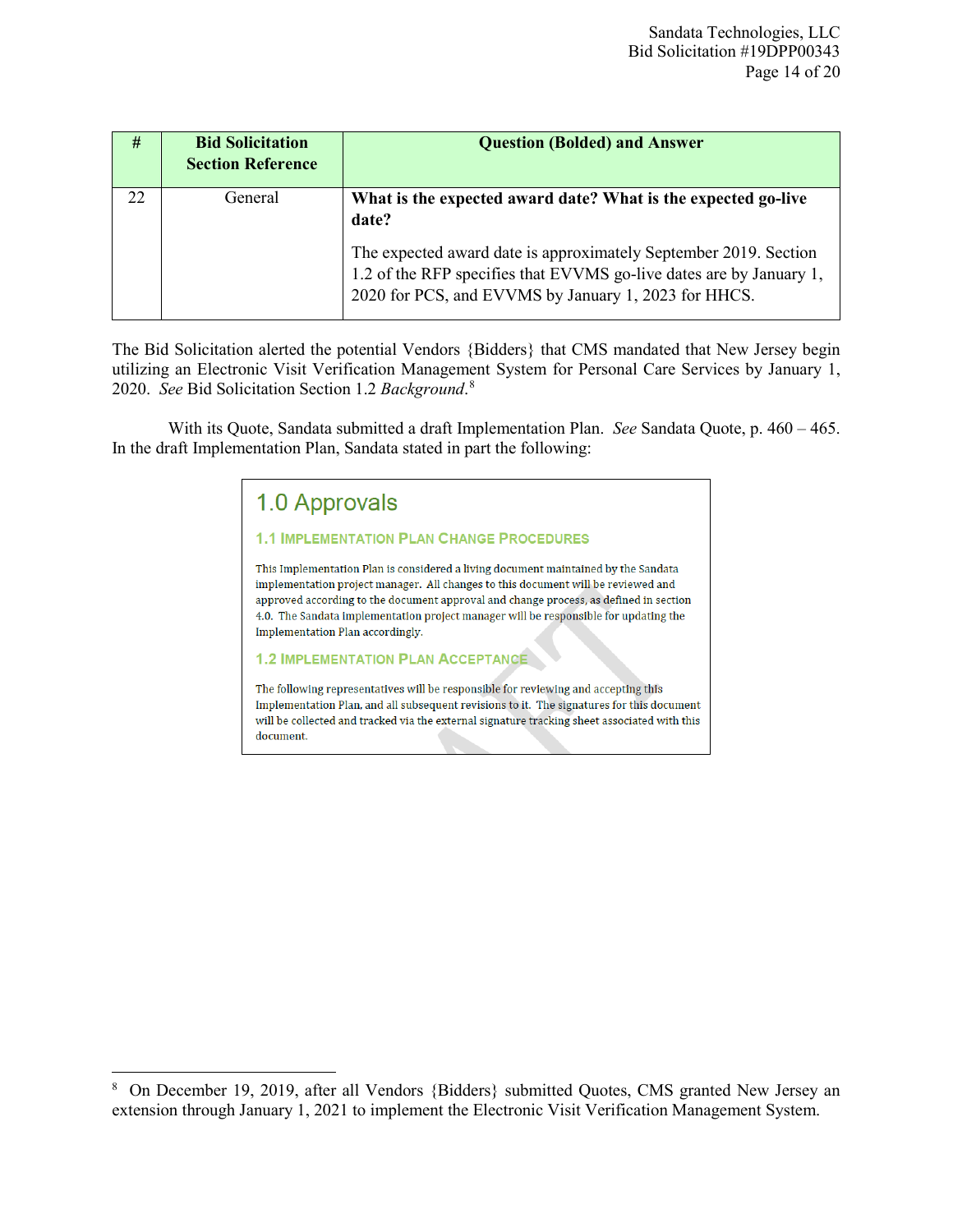| #  | <b>Bid Solicitation</b><br><b>Section Reference</b> | <b>Question (Bolded) and Answer</b>                                                                                                                                                             |
|----|-----------------------------------------------------|-------------------------------------------------------------------------------------------------------------------------------------------------------------------------------------------------|
| 22 | General                                             | What is the expected award date? What is the expected go-live<br>date?                                                                                                                          |
|    |                                                     | The expected award date is approximately September 2019. Section<br>1.2 of the RFP specifies that EVVMS go-live dates are by January 1,<br>2020 for PCS, and EVVMS by January 1, 2023 for HHCS. |

The Bid Solicitation alerted the potential Vendors {Bidders} that CMS mandated that New Jersey begin utilizing an Electronic Visit Verification Management System for Personal Care Services by January 1, 2020. *See* Bid Solicitation Section 1.2 *Background*. [8](#page-13-0)

With its Quote, Sandata submitted a draft Implementation Plan. *See* Sandata Quote, p. 460 – 465. In the draft Implementation Plan, Sandata stated in part the following:

# 1.0 Approvals

#### **1.1 IMPLEMENTATION PLAN CHANGE PROCEDURES**

This Implementation Plan is considered a living document maintained by the Sandata implementation project manager. All changes to this document will be reviewed and approved according to the document approval and change process, as defined in section 4.0. The Sandata implementation project manager will be responsible for updating the Implementation Plan accordingly.

**1.2 IMPLEMENTATION PLAN ACCEPTANCE** 

The following representatives will be responsible for reviewing and accepting this Implementation Plan, and all subsequent revisions to it. The signatures for this document will be collected and tracked via the external signature tracking sheet associated with this document.

<span id="page-13-0"></span> $\bf 8$ <sup>8</sup> On December 19, 2019, after all Vendors {Bidders} submitted Quotes, CMS granted New Jersey an extension through January 1, 2021 to implement the Electronic Visit Verification Management System.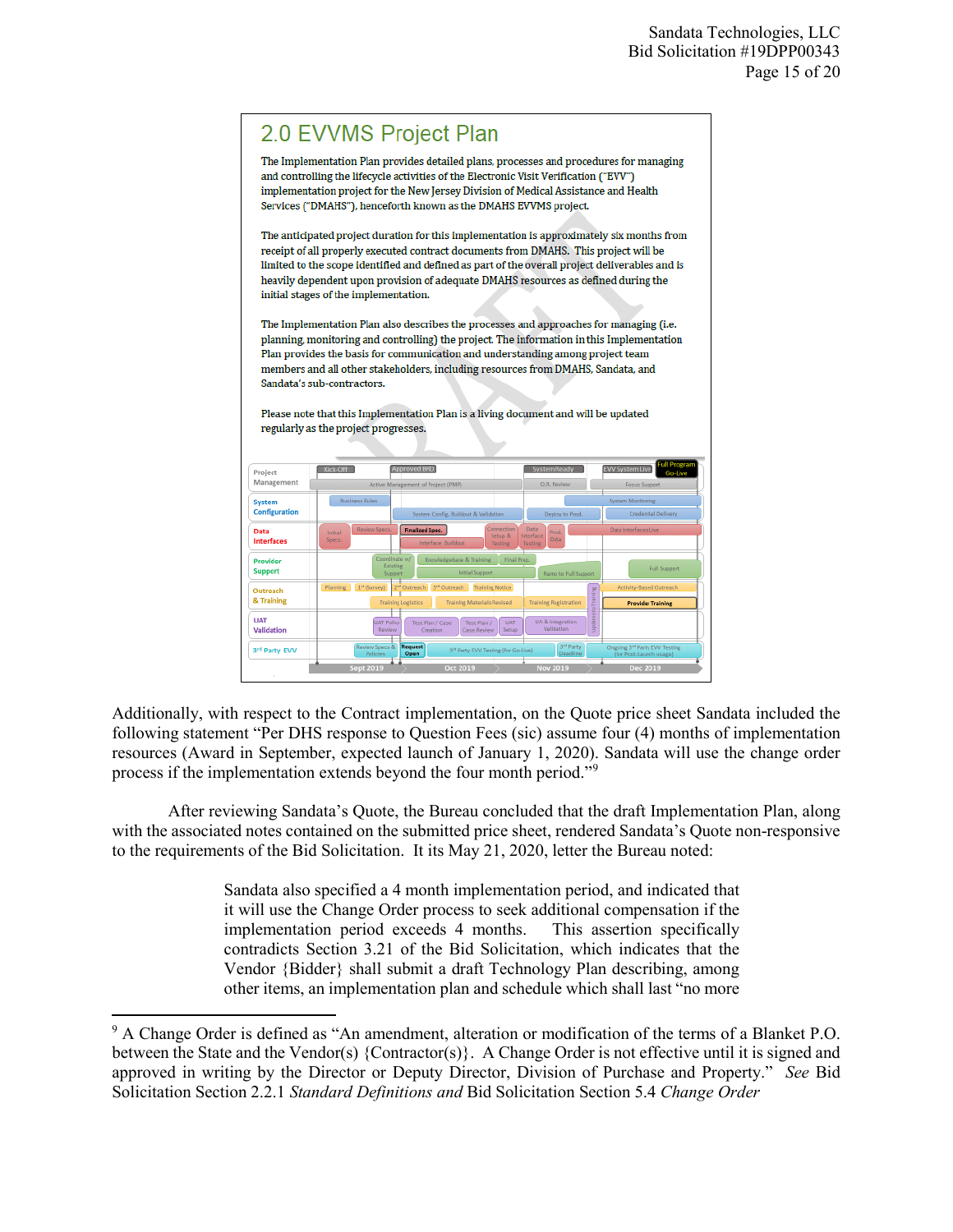

Additionally, with respect to the Contract implementation, on the Quote price sheet Sandata included the following statement "Per DHS response to Question Fees (sic) assume four (4) months of implementation resources (Award in September, expected launch of January 1, 2020). Sandata will use the change order process if the implementation extends beyond the four month period."[9](#page-14-0)

After reviewing Sandata's Quote, the Bureau concluded that the draft Implementation Plan, along with the associated notes contained on the submitted price sheet, rendered Sandata's Quote non-responsive to the requirements of the Bid Solicitation. It its May 21, 2020, letter the Bureau noted:

> Sandata also specified a 4 month implementation period, and indicated that it will use the Change Order process to seek additional compensation if the implementation period exceeds 4 months. This assertion specifically contradicts Section 3.21 of the Bid Solicitation, which indicates that the Vendor {Bidder} shall submit a draft Technology Plan describing, among other items, an implementation plan and schedule which shall last "no more

l

<span id="page-14-0"></span><sup>&</sup>lt;sup>9</sup> A Change Order is defined as "An amendment, alteration or modification of the terms of a Blanket P.O. between the State and the Vendor(s) {Contractor(s)}. A Change Order is not effective until it is signed and approved in writing by the Director or Deputy Director, Division of Purchase and Property." *See* Bid Solicitation Section 2.2.1 *Standard Definitions and* Bid Solicitation Section 5.4 *Change Order*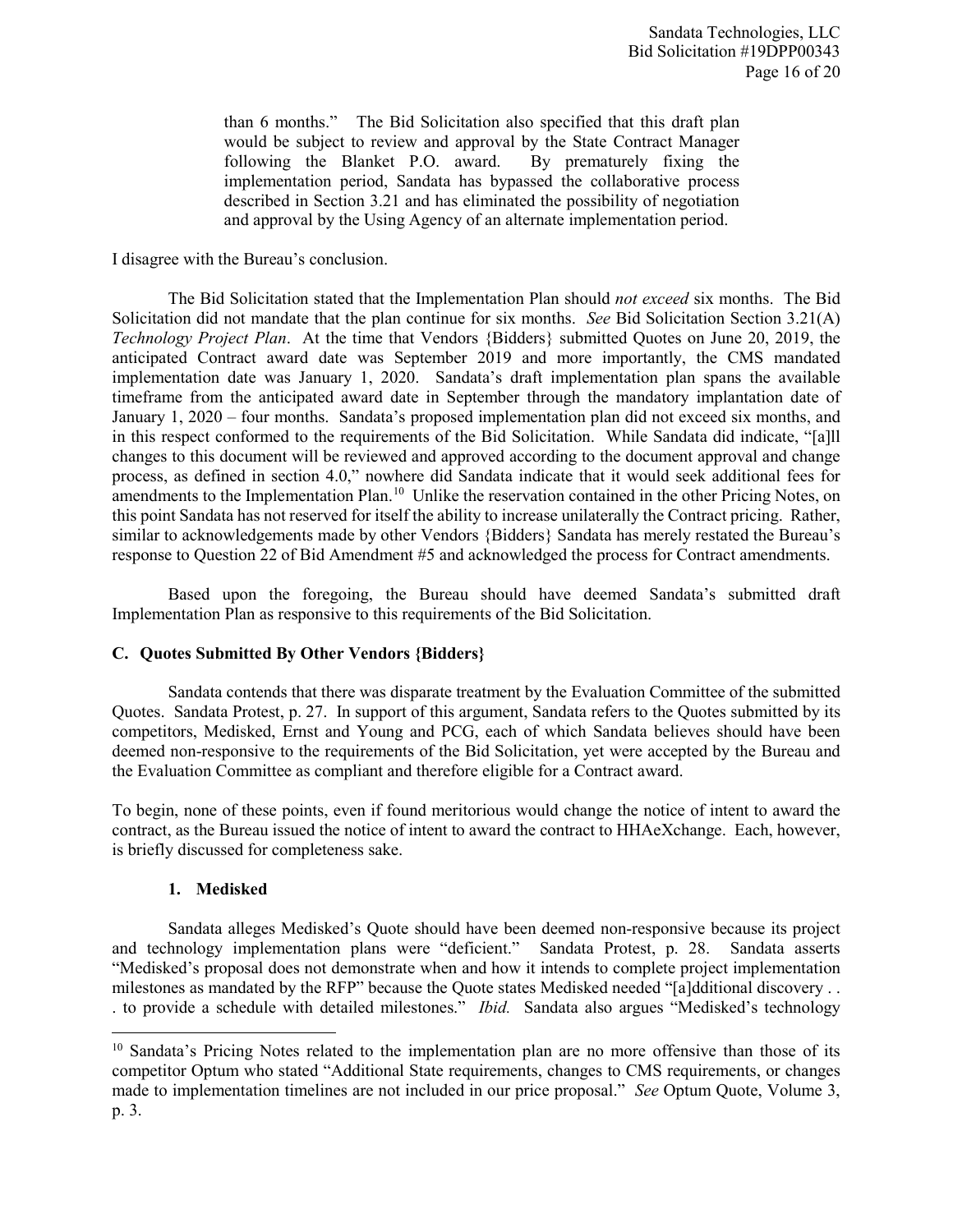than 6 months." The Bid Solicitation also specified that this draft plan would be subject to review and approval by the State Contract Manager following the Blanket P.O. award. By prematurely fixing the implementation period, Sandata has bypassed the collaborative process described in Section 3.21 and has eliminated the possibility of negotiation and approval by the Using Agency of an alternate implementation period.

I disagree with the Bureau's conclusion.

The Bid Solicitation stated that the Implementation Plan should *not exceed* six months. The Bid Solicitation did not mandate that the plan continue for six months. *See* Bid Solicitation Section 3.21(A) *Technology Project Plan*. At the time that Vendors {Bidders} submitted Quotes on June 20, 2019, the anticipated Contract award date was September 2019 and more importantly, the CMS mandated implementation date was January 1, 2020. Sandata's draft implementation plan spans the available timeframe from the anticipated award date in September through the mandatory implantation date of January 1, 2020 – four months. Sandata's proposed implementation plan did not exceed six months, and in this respect conformed to the requirements of the Bid Solicitation. While Sandata did indicate, "[a]ll changes to this document will be reviewed and approved according to the document approval and change process, as defined in section 4.0," nowhere did Sandata indicate that it would seek additional fees for amendments to the Implementation Plan.<sup>10</sup> Unlike the reservation contained in the other Pricing Notes, on this point Sandata has not reserved for itself the ability to increase unilaterally the Contract pricing. Rather, similar to acknowledgements made by other Vendors {Bidders} Sandata has merely restated the Bureau's response to Question 22 of Bid Amendment #5 and acknowledged the process for Contract amendments.

Based upon the foregoing, the Bureau should have deemed Sandata's submitted draft Implementation Plan as responsive to this requirements of the Bid Solicitation.

# **C. Quotes Submitted By Other Vendors {Bidders}**

Sandata contends that there was disparate treatment by the Evaluation Committee of the submitted Quotes. Sandata Protest, p. 27. In support of this argument, Sandata refers to the Quotes submitted by its competitors, Medisked, Ernst and Young and PCG, each of which Sandata believes should have been deemed non-responsive to the requirements of the Bid Solicitation, yet were accepted by the Bureau and the Evaluation Committee as compliant and therefore eligible for a Contract award.

To begin, none of these points, even if found meritorious would change the notice of intent to award the contract, as the Bureau issued the notice of intent to award the contract to HHAeXchange. Each, however, is briefly discussed for completeness sake.

# **1. Medisked**

 $\overline{a}$ 

Sandata alleges Medisked's Quote should have been deemed non-responsive because its project and technology implementation plans were "deficient." Sandata Protest, p. 28. Sandata asserts "Medisked's proposal does not demonstrate when and how it intends to complete project implementation milestones as mandated by the RFP" because the Quote states Medisked needed "[a]dditional discovery . . . to provide a schedule with detailed milestones." *Ibid.* Sandata also argues "Medisked's technology

<span id="page-15-0"></span><sup>&</sup>lt;sup>10</sup> Sandata's Pricing Notes related to the implementation plan are no more offensive than those of its competitor Optum who stated "Additional State requirements, changes to CMS requirements, or changes made to implementation timelines are not included in our price proposal." *See* Optum Quote, Volume 3, p. 3.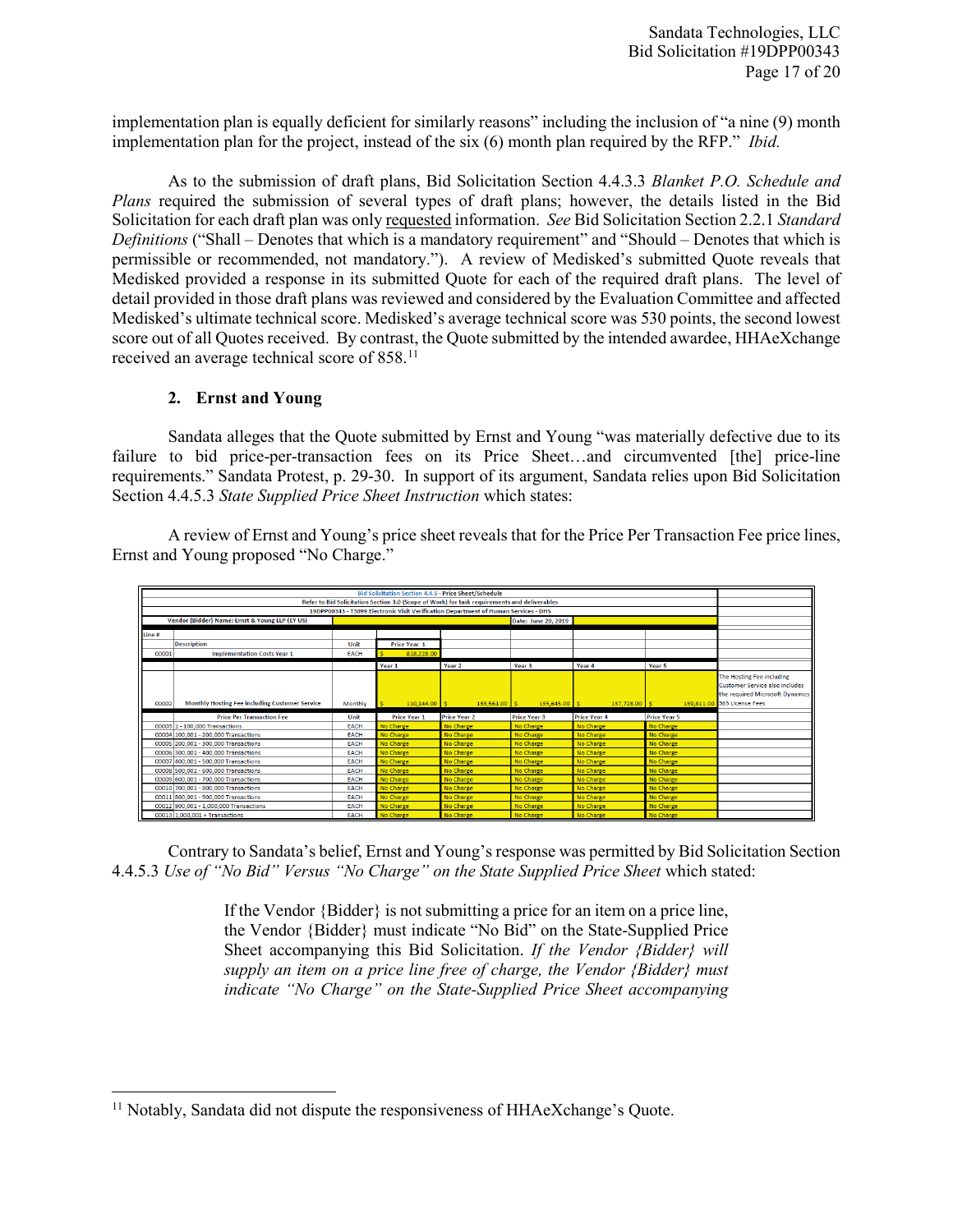implementation plan is equally deficient for similarly reasons" including the inclusion of "a nine (9) month implementation plan for the project, instead of the six (6) month plan required by the RFP." *Ibid.*

As to the submission of draft plans, Bid Solicitation Section 4.4.3.3 *Blanket P.O. Schedule and Plans* required the submission of several types of draft plans; however, the details listed in the Bid Solicitation for each draft plan was only requested information. *See* Bid Solicitation Section 2.2.1 *Standard Definitions* ("Shall – Denotes that which is a mandatory requirement" and "Should – Denotes that which is permissible or recommended, not mandatory."). A review of Medisked's submitted Quote reveals that Medisked provided a response in its submitted Quote for each of the required draft plans. The level of detail provided in those draft plans was reviewed and considered by the Evaluation Committee and affected Medisked's ultimate technical score. Medisked's average technical score was 530 points, the second lowest score out of all Quotes received. By contrast, the Quote submitted by the intended awardee, HHAeXchange received an average technical score of 858.<sup>[11](#page-16-0)</sup>

#### **2. Ernst and Young**

Sandata alleges that the Quote submitted by Ernst and Young "was materially defective due to its failure to bid price-per-transaction fees on its Price Sheet…and circumvented [the] price-line requirements." Sandata Protest, p. 29-30. In support of its argument, Sandata relies upon Bid Solicitation Section 4.4.5.3 *State Supplied Price Sheet Instruction* which states:

A review of Ernst and Young's price sheet reveals that for the Price Per Transaction Fee price lines, Ernst and Young proposed "No Charge."

| Bid Solicitation Section 4.4.5 - Price Sheet/Schedule                                        |                                                |             |                     |                     |                     |                     |                     |                                                                                                                                      |
|----------------------------------------------------------------------------------------------|------------------------------------------------|-------------|---------------------|---------------------|---------------------|---------------------|---------------------|--------------------------------------------------------------------------------------------------------------------------------------|
| Refer to Bid Solicitation Section 3.0 (Scope of Work) for task requirements and deliverables |                                                |             |                     |                     |                     |                     |                     |                                                                                                                                      |
| 19DPP00343 - T3099 Electronic Visit Verification Department of Human Services - DHS          |                                                |             |                     |                     |                     |                     |                     |                                                                                                                                      |
| Vendor {Bidder} Name: Ernst & Young LLP (EY US)                                              |                                                |             |                     |                     | Date: June 20, 2019 |                     |                     |                                                                                                                                      |
| Line#                                                                                        |                                                |             |                     |                     |                     |                     |                     |                                                                                                                                      |
|                                                                                              | <b>Description</b>                             | Unit        | Price Year 1        |                     |                     |                     |                     |                                                                                                                                      |
| 00001                                                                                        | <b>Implementation Costs Year 1</b>             | EACH        | 818,228.00          |                     |                     |                     |                     |                                                                                                                                      |
|                                                                                              |                                                |             | Year 1              | Year <sub>2</sub>   | Year 3              | Year 4              | Year 5              |                                                                                                                                      |
| 00002                                                                                        | Monthly Hosting Fee including Customer Service | Monthly     | $110.144.00$ S      | $133.561.00$ S      | $135,645,00$ S      | 137,728.00 S        |                     | The Hosting Fee including<br><b>Customer Service also includes</b><br>the required Microsoft Dynamics<br>139,811.00 365 License Fees |
|                                                                                              | <b>Price Per Transaction Fee</b>               | Unit        | <b>Price Year 1</b> | <b>Price Year 2</b> | <b>Price Year 3</b> | <b>Price Year 4</b> | <b>Price Year 5</b> |                                                                                                                                      |
|                                                                                              | 00003 1 - 100,000 Transactions                 | EACH        | No Charge           | No Charge           | No Charge           | No Charge           | No Charge           |                                                                                                                                      |
|                                                                                              | 00004 100,001 - 200,000 Transactions           | EACH        | No Charge           | No Charge           | No Charge           | No Charge           | No Charge           |                                                                                                                                      |
|                                                                                              | 00005 200.001 - 300.000 Transactions           | EACH        | No Charge           | No Charge           | No Charge           | No Charge           | No Charge           |                                                                                                                                      |
|                                                                                              | 00006 300.001 - 400.000 Transactions           | <b>FACH</b> | No Charge           | No Charge           | No Charge           | No Charge           | No Charge           |                                                                                                                                      |
|                                                                                              | 00007 400.001 - 500.000 Transactions           | <b>EACH</b> | No Charge           | No Charge           | No Charge           | No Charge           | No Charge           |                                                                                                                                      |
|                                                                                              | 00008 500,001 - 600,000 Transactions           | <b>EACH</b> | No Charge           | No Charge           | No Charge           | No Charge           | No Charge           |                                                                                                                                      |
|                                                                                              | 00009 600,001 - 700,000 Transactions           | EACH        | No Charge           | No Charge           | No Charge           | <b>No Charge</b>    | No Charge           |                                                                                                                                      |
|                                                                                              | 00010 700,001 - 800,000 Transactions           | EACH        | No Charge           | No Charge           | <b>No Charge</b>    | <b>No Charge</b>    | No Charge           |                                                                                                                                      |
|                                                                                              | 00011 800,001 - 900,000 Transactions           | EACH        | No Charge           | No Charge           | No Charge           | No Charge           | No Charge           |                                                                                                                                      |
|                                                                                              | 00012 900,001 - 1,000,000 Transactions         | EACH        | No Charge           | No Charge           | No Charge           | No Charge           | No Charge           |                                                                                                                                      |
|                                                                                              | 00013 1.000.001 + Transactions                 | <b>EACH</b> | No Charge           | No Charge           | No Charge           | No Charge           | No Charge           |                                                                                                                                      |

Contrary to Sandata's belief, Ernst and Young's response was permitted by Bid Solicitation Section 4.4.5.3 *Use of "No Bid" Versus "No Charge" on the State Supplied Price Sheet* which stated:

> If the Vendor {Bidder} is not submitting a price for an item on a price line, the Vendor {Bidder} must indicate "No Bid" on the State-Supplied Price Sheet accompanying this Bid Solicitation. *If the Vendor {Bidder} will supply an item on a price line free of charge, the Vendor {Bidder} must indicate "No Charge" on the State-Supplied Price Sheet accompanying*

<span id="page-16-0"></span>l <sup>11</sup> Notably, Sandata did not dispute the responsiveness of HHAeXchange's Quote.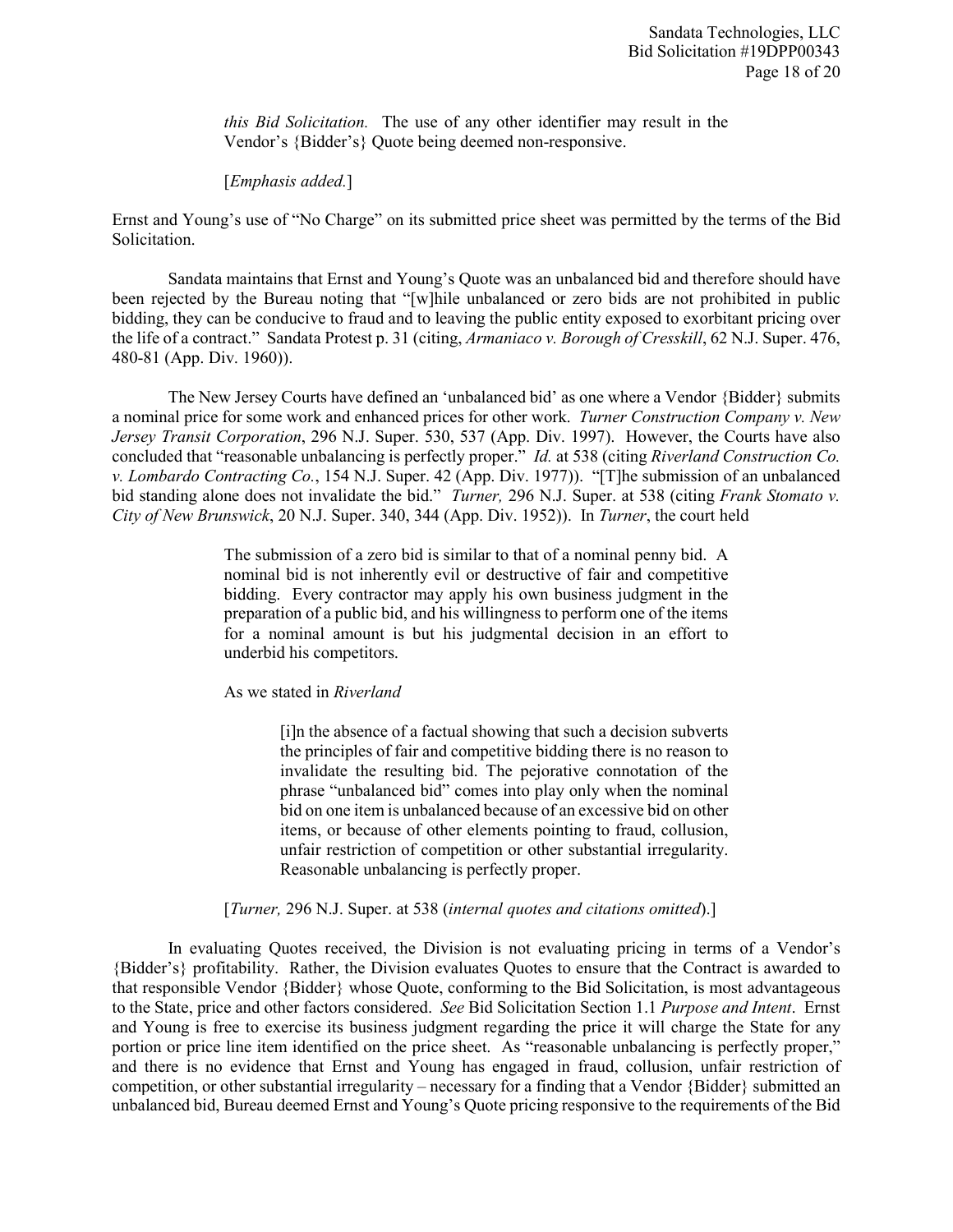*this Bid Solicitation.* The use of any other identifier may result in the Vendor's {Bidder's} Quote being deemed non-responsive.

[*Emphasis added.*]

Ernst and Young's use of "No Charge" on its submitted price sheet was permitted by the terms of the Bid Solicitation.

Sandata maintains that Ernst and Young's Quote was an unbalanced bid and therefore should have been rejected by the Bureau noting that "[w]hile unbalanced or zero bids are not prohibited in public bidding, they can be conducive to fraud and to leaving the public entity exposed to exorbitant pricing over the life of a contract." Sandata Protest p. 31 (citing, *Armaniaco v. Borough of Cresskill*, 62 N.J. Super. 476, 480-81 (App. Div. 1960)).

The New Jersey Courts have defined an 'unbalanced bid' as one where a Vendor {Bidder} submits a nominal price for some work and enhanced prices for other work. *Turner Construction Company v. New Jersey Transit Corporation*, 296 N.J. Super. 530, 537 (App. Div. 1997). However, the Courts have also concluded that "reasonable unbalancing is perfectly proper." *Id.* at 538 (citing *Riverland Construction Co. v. Lombardo Contracting Co.*, 154 N.J. Super. 42 (App. Div. 1977)). "[T]he submission of an unbalanced bid standing alone does not invalidate the bid." *Turner,* 296 N.J. Super. at 538 (citing *Frank Stomato v. City of New Brunswick*, 20 N.J. Super. 340, 344 (App. Div. 1952)). In *Turner*, the court held

> The submission of a zero bid is similar to that of a nominal penny bid. A nominal bid is not inherently evil or destructive of fair and competitive bidding. Every contractor may apply his own business judgment in the preparation of a public bid, and his willingness to perform one of the items for a nominal amount is but his judgmental decision in an effort to underbid his competitors.

As we stated in *Riverland*

[i]n the absence of a factual showing that such a decision subverts the principles of fair and competitive bidding there is no reason to invalidate the resulting bid. The pejorative connotation of the phrase "unbalanced bid" comes into play only when the nominal bid on one item is unbalanced because of an excessive bid on other items, or because of other elements pointing to fraud, collusion, unfair restriction of competition or other substantial irregularity. Reasonable unbalancing is perfectly proper.

[*Turner,* 296 N.J. Super. at 538 (*internal quotes and citations omitted*).]

In evaluating Quotes received, the Division is not evaluating pricing in terms of a Vendor's {Bidder's} profitability. Rather, the Division evaluates Quotes to ensure that the Contract is awarded to that responsible Vendor {Bidder} whose Quote, conforming to the Bid Solicitation, is most advantageous to the State, price and other factors considered. *See* Bid Solicitation Section 1.1 *Purpose and Intent*. Ernst and Young is free to exercise its business judgment regarding the price it will charge the State for any portion or price line item identified on the price sheet. As "reasonable unbalancing is perfectly proper," and there is no evidence that Ernst and Young has engaged in fraud, collusion, unfair restriction of competition, or other substantial irregularity – necessary for a finding that a Vendor {Bidder} submitted an unbalanced bid, Bureau deemed Ernst and Young's Quote pricing responsive to the requirements of the Bid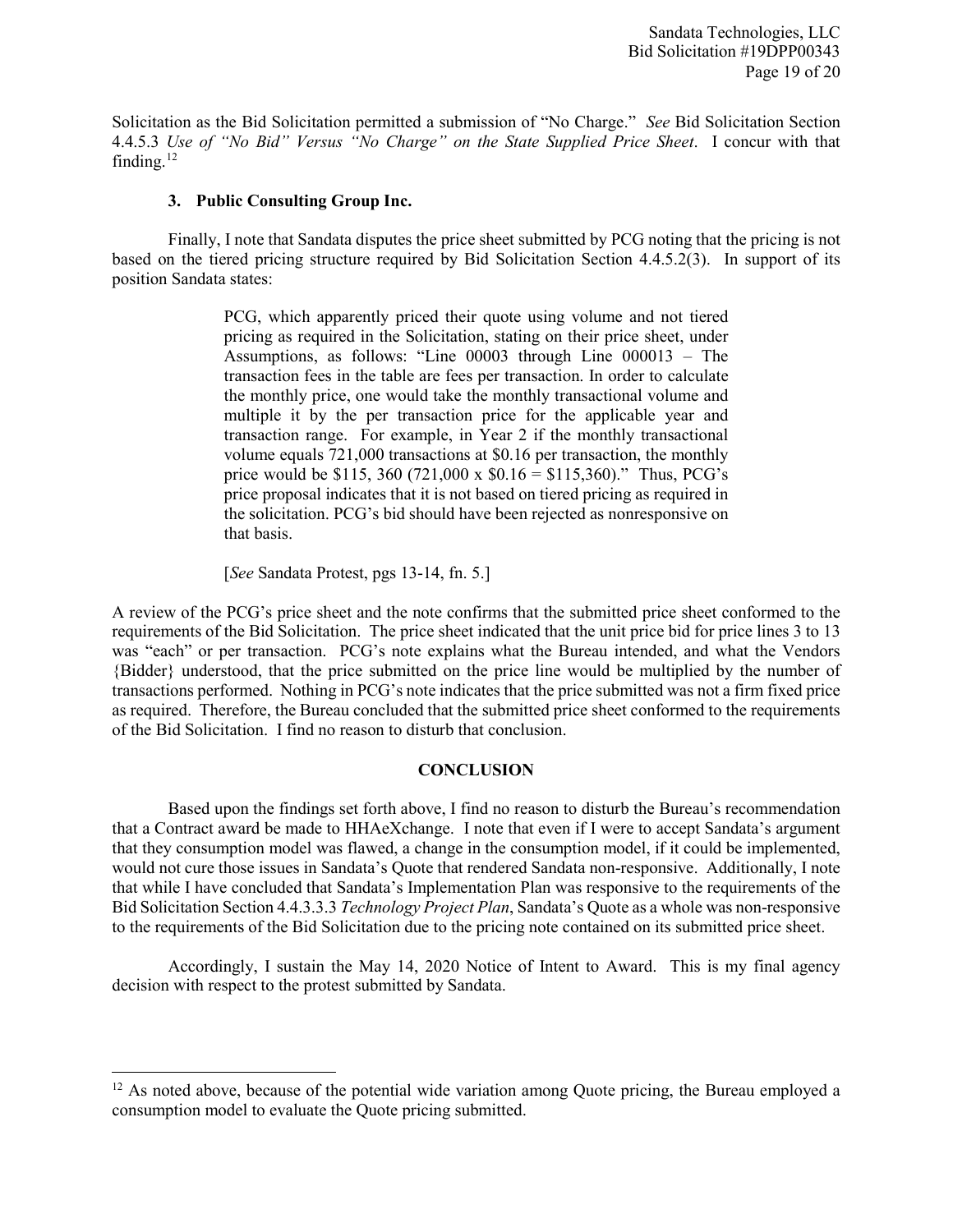Solicitation as the Bid Solicitation permitted a submission of "No Charge." *See* Bid Solicitation Section 4.4.5.3 *Use of "No Bid" Versus "No Charge" on the State Supplied Price Sheet*. I concur with that finding. $12$ 

#### **3. Public Consulting Group Inc.**

Finally, I note that Sandata disputes the price sheet submitted by PCG noting that the pricing is not based on the tiered pricing structure required by Bid Solicitation Section 4.4.5.2(3). In support of its position Sandata states:

> PCG, which apparently priced their quote using volume and not tiered pricing as required in the Solicitation, stating on their price sheet, under Assumptions, as follows: "Line 00003 through Line 000013 – The transaction fees in the table are fees per transaction. In order to calculate the monthly price, one would take the monthly transactional volume and multiple it by the per transaction price for the applicable year and transaction range. For example, in Year 2 if the monthly transactional volume equals 721,000 transactions at \$0.16 per transaction, the monthly price would be \$115, 360 (721,000 x  $$0.16 = $115,360$ )." Thus, PCG's price proposal indicates that it is not based on tiered pricing as required in the solicitation. PCG's bid should have been rejected as nonresponsive on that basis.

[*See* Sandata Protest, pgs 13-14, fn. 5.]

l

A review of the PCG's price sheet and the note confirms that the submitted price sheet conformed to the requirements of the Bid Solicitation. The price sheet indicated that the unit price bid for price lines 3 to 13 was "each" or per transaction. PCG's note explains what the Bureau intended, and what the Vendors {Bidder} understood, that the price submitted on the price line would be multiplied by the number of transactions performed. Nothing in PCG's note indicates that the price submitted was not a firm fixed price as required. Therefore, the Bureau concluded that the submitted price sheet conformed to the requirements of the Bid Solicitation. I find no reason to disturb that conclusion.

# **CONCLUSION**

Based upon the findings set forth above, I find no reason to disturb the Bureau's recommendation that a Contract award be made to HHAeXchange. I note that even if I were to accept Sandata's argument that they consumption model was flawed, a change in the consumption model, if it could be implemented, would not cure those issues in Sandata's Quote that rendered Sandata non-responsive. Additionally, I note that while I have concluded that Sandata's Implementation Plan was responsive to the requirements of the Bid Solicitation Section 4.4.3.3.3 *Technology Project Plan*, Sandata's Quote as a whole was non-responsive to the requirements of the Bid Solicitation due to the pricing note contained on its submitted price sheet.

Accordingly, I sustain the May 14, 2020 Notice of Intent to Award. This is my final agency decision with respect to the protest submitted by Sandata.

<span id="page-18-0"></span> $12$  As noted above, because of the potential wide variation among Quote pricing, the Bureau employed a consumption model to evaluate the Quote pricing submitted.